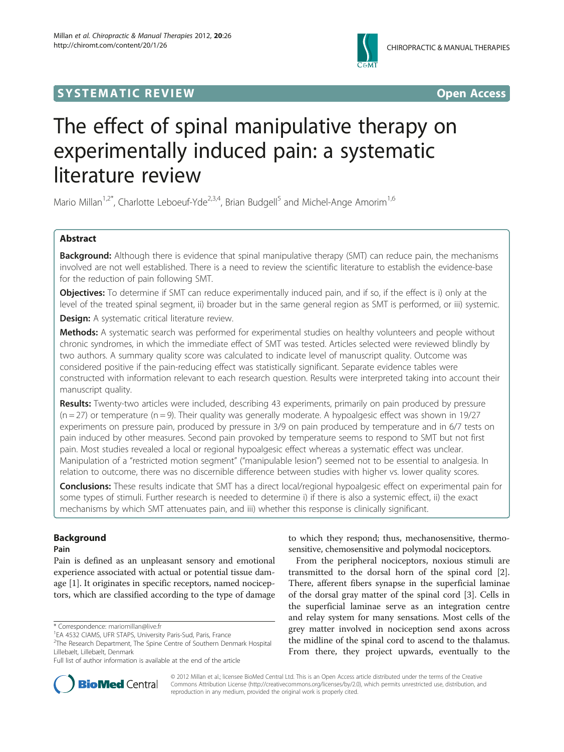

# **SYSTEMATIC REVIEW CONTROL** CONTROL CONTROL CONTROL CONTROL CONTROL CONTROL CONTROL CONTROL CONTROL CONTROL CONTROL CONTROL CONTROL CONTROL CONTROL CONTROL CONTROL CONTROL CONTROL CONTROL CONTROL CONTROL CONTROL CONTROL CO

# The effect of spinal manipulative therapy on experimentally induced pain: a systematic literature review

Mario Millan<sup>1,2\*</sup>, Charlotte Leboeuf-Yde<sup>2,3,4</sup>, Brian Budgell<sup>5</sup> and Michel-Ange Amorim<sup>1,6</sup>

# Abstract

Background: Although there is evidence that spinal manipulative therapy (SMT) can reduce pain, the mechanisms involved are not well established. There is a need to review the scientific literature to establish the evidence-base for the reduction of pain following SMT.

Objectives: To determine if SMT can reduce experimentally induced pain, and if so, if the effect is i) only at the level of the treated spinal segment, ii) broader but in the same general region as SMT is performed, or iii) systemic.

Design: A systematic critical literature review.

**Methods:** A systematic search was performed for experimental studies on healthy volunteers and people without chronic syndromes, in which the immediate effect of SMT was tested. Articles selected were reviewed blindly by two authors. A summary quality score was calculated to indicate level of manuscript quality. Outcome was considered positive if the pain-reducing effect was statistically significant. Separate evidence tables were constructed with information relevant to each research question. Results were interpreted taking into account their manuscript quality.

Results: Twenty-two articles were included, describing 43 experiments, primarily on pain produced by pressure  $(n = 27)$  or temperature  $(n = 9)$ . Their quality was generally moderate. A hypoalgesic effect was shown in 19/27 experiments on pressure pain, produced by pressure in 3/9 on pain produced by temperature and in 6/7 tests on pain induced by other measures. Second pain provoked by temperature seems to respond to SMT but not first pain. Most studies revealed a local or regional hypoalgesic effect whereas a systematic effect was unclear. Manipulation of a "restricted motion segment" ("manipulable lesion") seemed not to be essential to analgesia. In relation to outcome, there was no discernible difference between studies with higher vs. lower quality scores.

Conclusions: These results indicate that SMT has a direct local/regional hypoalgesic effect on experimental pain for some types of stimuli. Further research is needed to determine i) if there is also a systemic effect, ii) the exact mechanisms by which SMT attenuates pain, and iii) whether this response is clinically significant.

# Background

### Pain

Pain is defined as an unpleasant sensory and emotional experience associated with actual or potential tissue damage [[1\]](#page-20-0). It originates in specific receptors, named nociceptors, which are classified according to the type of damage

\* Correspondence: [mariomillan@live.fr](mailto:mariomillan@live.fr) <sup>1</sup>

to which they respond; thus, mechanosensitive, thermosensitive, chemosensitive and polymodal nociceptors.

From the peripheral nociceptors, noxious stimuli are transmitted to the dorsal horn of the spinal cord [\[2](#page-20-0)]. There, afferent fibers synapse in the superficial laminae of the dorsal gray matter of the spinal cord [\[3](#page-20-0)]. Cells in the superficial laminae serve as an integration centre and relay system for many sensations. Most cells of the grey matter involved in nociception send axons across the midline of the spinal cord to ascend to the thalamus. From there, they project upwards, eventually to the



© 2012 Millan et al.; licensee BioMed Central Ltd. This is an Open Access article distributed under the terms of the Creative Commons Attribution License [\(http://creativecommons.org/licenses/by/2.0\)](http://creativecommons.org/licenses/by/2.0), which permits unrestricted use, distribution, and reproduction in any medium, provided the original work is properly cited.

<sup>&</sup>lt;sup>1</sup>EA 4532 CIAMS, UFR STAPS, University Paris-Sud, Paris, France

<sup>&</sup>lt;sup>2</sup>The Research Department, The Spine Centre of Southern Denmark Hospital Lillebælt, Lillebælt, Denmark

Full list of author information is available at the end of the article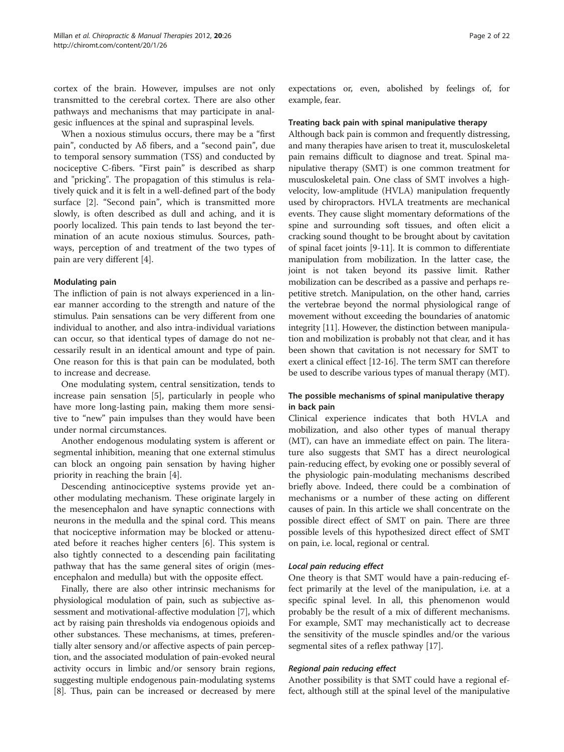cortex of the brain. However, impulses are not only transmitted to the cerebral cortex. There are also other pathways and mechanisms that may participate in analgesic influences at the spinal and supraspinal levels.

When a noxious stimulus occurs, there may be a "first pain", conducted by Aδ fibers, and a "second pain", due to temporal sensory summation (TSS) and conducted by nociceptive C-fibers. "First pain" is described as sharp and "pricking". The propagation of this stimulus is relatively quick and it is felt in a well-defined part of the body surface [[2\]](#page-20-0). "Second pain", which is transmitted more slowly, is often described as dull and aching, and it is poorly localized. This pain tends to last beyond the termination of an acute noxious stimulus. Sources, pathways, perception of and treatment of the two types of pain are very different [[4\]](#page-20-0).

#### Modulating pain

The infliction of pain is not always experienced in a linear manner according to the strength and nature of the stimulus. Pain sensations can be very different from one individual to another, and also intra-individual variations can occur, so that identical types of damage do not necessarily result in an identical amount and type of pain. One reason for this is that pain can be modulated, both to increase and decrease.

One modulating system, central sensitization, tends to increase pain sensation [[5\]](#page-20-0), particularly in people who have more long-lasting pain, making them more sensitive to "new" pain impulses than they would have been under normal circumstances.

Another endogenous modulating system is afferent or segmental inhibition, meaning that one external stimulus can block an ongoing pain sensation by having higher priority in reaching the brain [[4\]](#page-20-0).

Descending antinociceptive systems provide yet another modulating mechanism. These originate largely in the mesencephalon and have synaptic connections with neurons in the medulla and the spinal cord. This means that nociceptive information may be blocked or attenuated before it reaches higher centers [[6\]](#page-20-0). This system is also tightly connected to a descending pain facilitating pathway that has the same general sites of origin (mesencephalon and medulla) but with the opposite effect.

Finally, there are also other intrinsic mechanisms for physiological modulation of pain, such as subjective assessment and motivational-affective modulation [[7\]](#page-20-0), which act by raising pain thresholds via endogenous opioids and other substances. These mechanisms, at times, preferentially alter sensory and/or affective aspects of pain perception, and the associated modulation of pain-evoked neural activity occurs in limbic and/or sensory brain regions, suggesting multiple endogenous pain-modulating systems [[8\]](#page-20-0). Thus, pain can be increased or decreased by mere expectations or, even, abolished by feelings of, for example, fear.

#### Treating back pain with spinal manipulative therapy

Although back pain is common and frequently distressing, and many therapies have arisen to treat it, musculoskeletal pain remains difficult to diagnose and treat. Spinal manipulative therapy (SMT) is one common treatment for musculoskeletal pain. One class of SMT involves a highvelocity, low-amplitude (HVLA) manipulation frequently used by chiropractors. HVLA treatments are mechanical events. They cause slight momentary deformations of the spine and surrounding soft tissues, and often elicit a cracking sound thought to be brought about by cavitation of spinal facet joints [[9-11\]](#page-20-0). It is common to differentiate manipulation from mobilization. In the latter case, the joint is not taken beyond its passive limit. Rather mobilization can be described as a passive and perhaps repetitive stretch. Manipulation, on the other hand, carries the vertebrae beyond the normal physiological range of movement without exceeding the boundaries of anatomic integrity [[11](#page-20-0)]. However, the distinction between manipulation and mobilization is probably not that clear, and it has been shown that cavitation is not necessary for SMT to exert a clinical effect [[12](#page-20-0)-[16](#page-20-0)]. The term SMT can therefore be used to describe various types of manual therapy (MT).

### The possible mechanisms of spinal manipulative therapy in back pain

Clinical experience indicates that both HVLA and mobilization, and also other types of manual therapy (MT), can have an immediate effect on pain. The literature also suggests that SMT has a direct neurological pain-reducing effect, by evoking one or possibly several of the physiologic pain-modulating mechanisms described briefly above. Indeed, there could be a combination of mechanisms or a number of these acting on different causes of pain. In this article we shall concentrate on the possible direct effect of SMT on pain. There are three possible levels of this hypothesized direct effect of SMT on pain, i.e. local, regional or central.

#### Local pain reducing effect

One theory is that SMT would have a pain-reducing effect primarily at the level of the manipulation, i.e. at a specific spinal level. In all, this phenomenon would probably be the result of a mix of different mechanisms. For example, SMT may mechanistically act to decrease the sensitivity of the muscle spindles and/or the various segmental sites of a reflex pathway [\[17\]](#page-20-0).

#### Regional pain reducing effect

Another possibility is that SMT could have a regional effect, although still at the spinal level of the manipulative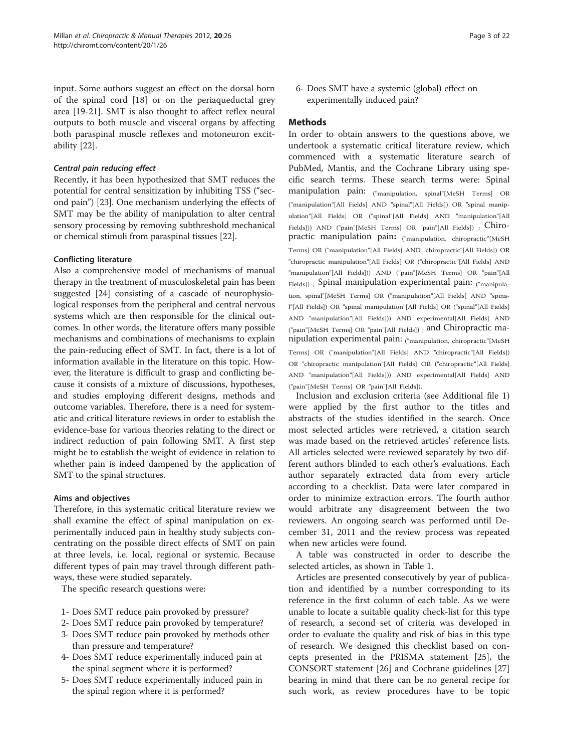input. Some authors suggest an effect on the dorsal horn of the spinal cord [[18\]](#page-20-0) or on the periaqueductal grey area [\[19](#page-20-0)-[21](#page-20-0)]. SMT is also thought to affect reflex neural outputs to both muscle and visceral organs by affecting both paraspinal muscle reflexes and motoneuron excitability [[22](#page-20-0)].

#### Central pain reducing effect

Recently, it has been hypothesized that SMT reduces the potential for central sensitization by inhibiting TSS ("second pain") [\[23](#page-20-0)]. One mechanism underlying the effects of SMT may be the ability of manipulation to alter central sensory processing by removing subthreshold mechanical or chemical stimuli from paraspinal tissues [\[22](#page-20-0)].

#### Conflicting literature

Also a comprehensive model of mechanisms of manual therapy in the treatment of musculoskeletal pain has been suggested [[24](#page-20-0)] consisting of a cascade of neurophysiological responses from the peripheral and central nervous systems which are then responsible for the clinical outcomes. In other words, the literature offers many possible mechanisms and combinations of mechanisms to explain the pain-reducing effect of SMT. In fact, there is a lot of information available in the literature on this topic. However, the literature is difficult to grasp and conflicting because it consists of a mixture of discussions, hypotheses, and studies employing different designs, methods and outcome variables. Therefore, there is a need for systematic and critical literature reviews in order to establish the evidence-base for various theories relating to the direct or indirect reduction of pain following SMT. A first step might be to establish the weight of evidence in relation to whether pain is indeed dampened by the application of SMT to the spinal structures.

#### Aims and objectives

Therefore, in this systematic critical literature review we shall examine the effect of spinal manipulation on experimentally induced pain in healthy study subjects concentrating on the possible direct effects of SMT on pain at three levels, i.e. local, regional or systemic. Because different types of pain may travel through different pathways, these were studied separately.

The specific research questions were:

- 1- Does SMT reduce pain provoked by pressure?
- 2- Does SMT reduce pain provoked by temperature?
- 3- Does SMT reduce pain provoked by methods other than pressure and temperature?
- 4- Does SMT reduce experimentally induced pain at the spinal segment where it is performed?
- 5- Does SMT reduce experimentally induced pain in the spinal region where it is performed?

6- Does SMT have a systemic (global) effect on experimentally induced pain?

#### **Methods**

In order to obtain answers to the questions above, we undertook a systematic critical literature review, which commenced with a systematic literature search of PubMed, Mantis, and the Cochrane Library using specific search terms. These search terms were: Spinal manipulation pain: ("manipulation, spinal"[MeSH Terms] OR ("manipulation"[All Fields] AND "spinal"[All Fields]) OR "spinal manipulation"[All Fields] OR ("spinal"[All Fields] AND "manipulation"[All Fields])) AND ("pain"[MeSH Terms] OR "pain"[All Fields]) ; Chiropractic manipulation pain: ("manipulation, chiropractic"[MeSH Terms] OR ("manipulation"[All Fields] AND "chiropractic"[All Fields]) OR "chiropractic manipulation"[All Fields] OR ("chiropractic"[All Fields] AND "manipulation"[All Fields])) AND ("pain"[MeSH Terms] OR "pain"[All  $_{\rm Fields)}$  ; Spinal manipulation experimental pain:  $_{\rm (Tmanipula-}$ tion, spinal"[MeSH Terms] OR ("manipulation"[All Fields] AND "spinal"[All Fields]) OR "spinal manipulation"[All Fields] OR ("spinal"[All Fields] AND "manipulation"[All Fields])) AND experimental[All Fields] AND ("pain"[MeSH Terms] OR "pain"[All Fields]) ; and Chiropractic manipulation experimental pain: ("manipulation, chiropractic"[MeSH Terms] OR ("manipulation"[All Fields] AND "chiropractic"[All Fields]) OR "chiropractic manipulation"[All Fields] OR ("chiropractic"[All Fields] AND "manipulation"[All Fields])) AND experimental[All Fields] AND ("pain"[MeSH Terms] OR "pain"[All Fields]).

Inclusion and exclusion criteria (see Additional file [1](#page-20-0)) were applied by the first author to the titles and abstracts of the studies identified in the search. Once most selected articles were retrieved, a citation search was made based on the retrieved articles' reference lists. All articles selected were reviewed separately by two different authors blinded to each other's evaluations. Each author separately extracted data from every article according to a checklist. Data were later compared in order to minimize extraction errors. The fourth author would arbitrate any disagreement between the two reviewers. An ongoing search was performed until December 31, 2011 and the review process was repeated when new articles were found.

A table was constructed in order to describe the selected articles, as shown in Table [1.](#page-3-0)

Articles are presented consecutively by year of publication and identified by a number corresponding to its reference in the first column of each table. As we were unable to locate a suitable quality check-list for this type of research, a second set of criteria was developed in order to evaluate the quality and risk of bias in this type of research. We designed this checklist based on concepts presented in the PRISMA statement [\[25\]](#page-20-0), the CONSORT statement [[26\]](#page-21-0) and Cochrane guidelines [[27](#page-21-0)] bearing in mind that there can be no general recipe for such work, as review procedures have to be topic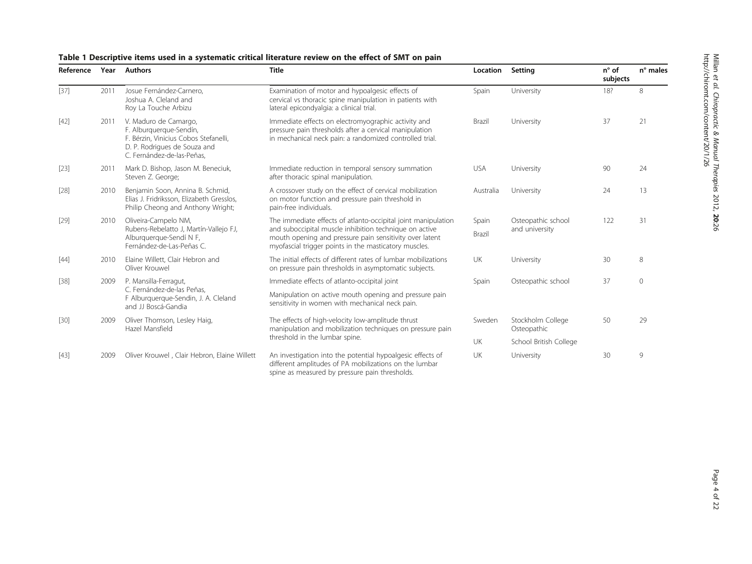# <span id="page-3-0"></span>Table 1 Descriptive items used in a systematic critical literature review on the effect of SMT on pain

| Reference | Year                                                                                           | <b>Authors</b>                                                                                                                                          | <b>Title</b>                                                                                                                                                               | Location   | Setting                          | $n^{\circ}$ of<br>subjects | $n°$ males   |
|-----------|------------------------------------------------------------------------------------------------|---------------------------------------------------------------------------------------------------------------------------------------------------------|----------------------------------------------------------------------------------------------------------------------------------------------------------------------------|------------|----------------------------------|----------------------------|--------------|
| $[37]$    | 2011                                                                                           | Josue Fernández-Carnero.<br>Joshua A. Cleland and<br>Roy La Touche Arbizu                                                                               | Examination of motor and hypoalgesic effects of<br>cervical vs thoracic spine manipulation in patients with<br>lateral epicondyalgia: a clinical trial.                    | Spain      | University                       | 18?                        | 8            |
| $[42]$    | 2011                                                                                           | V. Maduro de Camargo,<br>F. Alburguergue-Sendín,<br>F. Bérzin, Vinicius Cobos Stefanelli,<br>D. P. Rodrigues de Souza and<br>C. Fernández-de-las-Peñas. | Immediate effects on electromyographic activity and<br>pressure pain thresholds after a cervical manipulation<br>in mechanical neck pain: a randomized controlled trial.   | Brazil     | University                       | 37                         | 21           |
| $[23]$    | 2011                                                                                           | Mark D. Bishop, Jason M. Beneciuk,<br>Steven Z. George;                                                                                                 | Immediate reduction in temporal sensory summation<br>after thoracic spinal manipulation.                                                                                   | <b>USA</b> | University                       | 90                         | 24           |
| $[28]$    | 2010                                                                                           | Benjamin Soon, Annina B. Schmid,<br>Elias J. Fridriksson, Elizabeth Gresslos,<br>Philip Cheong and Anthony Wright;                                      | A crossover study on the effect of cervical mobilization<br>on motor function and pressure pain threshold in<br>pain-free individuals.                                     | Australia  | University                       | 24                         | 13           |
| $[29]$    | 2010                                                                                           | Oliveira-Campelo NM,                                                                                                                                    | The immediate effects of atlanto-occipital joint manipulation                                                                                                              | Spain      | Osteopathic school               | 122                        | 31           |
|           | Rubens-Rebelatto J, Martín-Vallejo FJ,<br>Alburquerque-Sendí N F,<br>Fernández-de-Las-Peñas C. |                                                                                                                                                         | and suboccipital muscle inhibition technique on active<br>mouth opening and pressure pain sensitivity over latent<br>myofascial trigger points in the masticatory muscles. | Brazil     | and university                   |                            |              |
| $[44]$    | 2010                                                                                           | Elaine Willett, Clair Hebron and<br>Oliver Krouwel                                                                                                      | The initial effects of different rates of lumbar mobilizations<br>on pressure pain thresholds in asymptomatic subjects.                                                    | <b>UK</b>  | University                       | 30                         | 8            |
| $[38]$    | 2009                                                                                           | P. Mansilla-Ferragut,                                                                                                                                   | Immediate effects of atlanto-occipital joint                                                                                                                               | Spain      | Osteopathic school               | 37                         | $\mathbf{0}$ |
|           |                                                                                                | C. Fernández-de-las Peñas.<br>F Alburquerque-Sendin, J. A. Cleland<br>and JJ Boscá-Gandia                                                               | Manipulation on active mouth opening and pressure pain<br>sensitivity in women with mechanical neck pain.                                                                  |            |                                  |                            |              |
| $[30]$    | 2009                                                                                           | Oliver Thomson, Lesley Haig,<br>Hazel Mansfield                                                                                                         | The effects of high-velocity low-amplitude thrust<br>manipulation and mobilization techniques on pressure pain                                                             | Sweden     | Stockholm College<br>Osteopathic | 50                         | 29           |
|           |                                                                                                |                                                                                                                                                         | threshold in the lumbar spine.                                                                                                                                             | <b>UK</b>  | School British College           |                            |              |
| $[43]$    | 2009                                                                                           | Oliver Krouwel, Clair Hebron, Elaine Willett                                                                                                            | An investigation into the potential hypoalgesic effects of<br>different amplitudes of PA mobilizations on the lumbar<br>spine as measured by pressure pain thresholds.     | UK         | University                       | 30                         | 9            |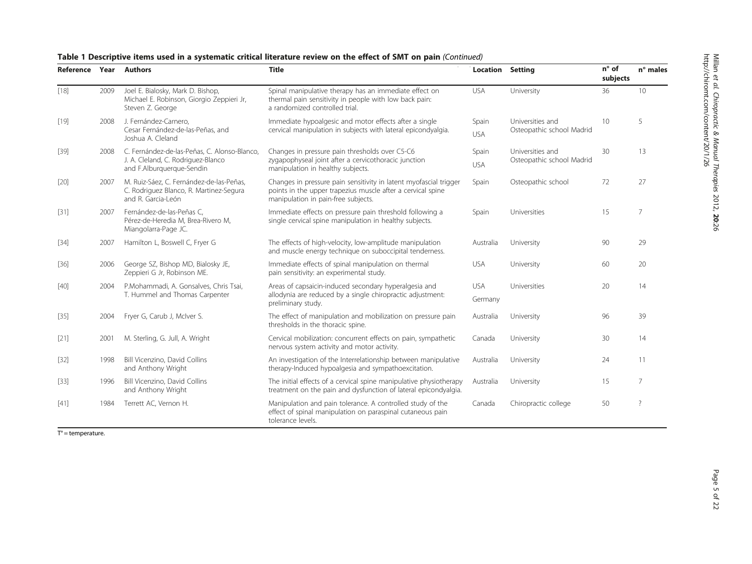| ttp://chiromr.com/content/20/1/26 | s<br>P<br>lan et dl. Chiropractic & Manual Therapies 2012, 20:26 |
|-----------------------------------|------------------------------------------------------------------|
|-----------------------------------|------------------------------------------------------------------|

|  |  | Table 1 Descriptive items used in a systematic critical literature review on the effect of SMT on pain (Continued) |  |  |
|--|--|--------------------------------------------------------------------------------------------------------------------|--|--|
|--|--|--------------------------------------------------------------------------------------------------------------------|--|--|

| Reference Year Authors |      |                                                                                                                 | <b>Title</b>                                                                                                                                                            | <b>Location Setting</b> |                                               | $n^{\circ}$ of<br>subjects | $n°$ males     |
|------------------------|------|-----------------------------------------------------------------------------------------------------------------|-------------------------------------------------------------------------------------------------------------------------------------------------------------------------|-------------------------|-----------------------------------------------|----------------------------|----------------|
| $[18]$                 | 2009 | Joel E. Bialosky, Mark D. Bishop,<br>Michael E. Robinson, Giorgio Zeppieri Jr,<br>Steven Z. George              | Spinal manipulative therapy has an immediate effect on<br>thermal pain sensitivity in people with low back pain:<br>a randomized controlled trial.                      | <b>USA</b>              | University                                    | 36                         | 10             |
| $[19]$                 | 2008 | J. Fernández-Carnero.<br>Cesar Fernández-de-las-Peñas, and<br>Joshua A. Cleland                                 | Immediate hypoalgesic and motor effects after a single<br>cervical manipulation in subjects with lateral epicondyalgia.                                                 | Spain<br><b>USA</b>     | Universities and<br>Osteopathic school Madrid | 10 <sup>2</sup>            | 5              |
| $[39]$                 | 2008 | C. Fernández-de-las-Peñas, C. Alonso-Blanco,<br>J. A. Cleland, C. Rodriguez-Blanco<br>and F.Alburguergue-Sendin | Changes in pressure pain thresholds over C5-C6<br>zygapophyseal joint after a cervicothoracic junction<br>manipulation in healthy subjects.                             | Spain<br><b>USA</b>     | Universities and<br>Osteopathic school Madrid | 30                         | 13             |
| $[20]$                 | 2007 | M. Ruiz-Sáez, C. Fernández-de-las-Peñas,<br>C. Rodriguez Blanco, R. Martinez-Segura<br>and R. Garcia-León       | Changes in pressure pain sensitivity in latent myofascial trigger<br>points in the upper trapezius muscle after a cervical spine<br>manipulation in pain-free subjects. | Spain                   | Osteopathic school                            | 72                         | 27             |
| $[31]$                 | 2007 | Fernández-de-las-Peñas C,<br>Pérez-de-Heredia M. Brea-Rivero M.<br>Miangolarra-Page JC.                         | Immediate effects on pressure pain threshold following a<br>single cervical spine manipulation in healthy subjects.                                                     | Spain                   | Universities                                  | 15                         | $\overline{7}$ |
| $[34]$                 | 2007 | Hamilton L, Boswell C, Fryer G                                                                                  | The effects of high-velocity, low-amplitude manipulation<br>and muscle energy technique on suboccipital tenderness.                                                     | Australia               | University                                    | 90                         | 29             |
| $[36]$                 | 2006 | George SZ, Bishop MD, Bialosky JE,<br>Zeppieri G Jr, Robinson ME.                                               | Immediate effects of spinal manipulation on thermal<br>pain sensitivity: an experimental study.                                                                         | <b>USA</b>              | University                                    | 60                         | 20             |
| $[40]$                 | 2004 | P.Mohammadi, A. Gonsalves, Chris Tsai,<br>T. Hummel and Thomas Carpenter                                        | Areas of capsaicin-induced secondary hyperalgesia and<br>allodynia are reduced by a single chiropractic adjustment:<br>preliminary study.                               | <b>USA</b><br>Germany   | Universities                                  | 20                         | 14             |
| $[35]$                 | 2004 | Fryer G, Carub J, McIver S.                                                                                     | The effect of manipulation and mobilization on pressure pain<br>thresholds in the thoracic spine.                                                                       | Australia               | University                                    | 96                         | 39             |
| $[21]$                 | 2001 | M. Sterling, G. Jull, A. Wright                                                                                 | Cervical mobilization: concurrent effects on pain, sympathetic<br>nervous system activity and motor activity.                                                           | Canada                  | University                                    | 30                         | 14             |
| $[32]$                 | 1998 | Bill Vicenzino, David Collins<br>and Anthony Wright                                                             | An investigation of the Interrelationship between manipulative<br>therapy-Induced hypoalgesia and sympathoexcitation.                                                   | Australia               | University                                    | 24                         | 11             |
| $[33]$                 | 1996 | Bill Vicenzino, David Collins<br>and Anthony Wright                                                             | The initial effects of a cervical spine manipulative physiotherapy<br>treatment on the pain and dysfunction of lateral epicondyalgia.                                   | Australia               | University                                    | 15                         | $\overline{7}$ |
| $[41]$                 | 1984 | Terrett AC, Vernon H.                                                                                           | Manipulation and pain tolerance. A controlled study of the<br>effect of spinal manipulation on paraspinal cutaneous pain<br>tolerance levels.                           | Canada                  | Chiropractic college                          | 50                         | $\overline{?}$ |

 $T<sup>o</sup> = temperature.$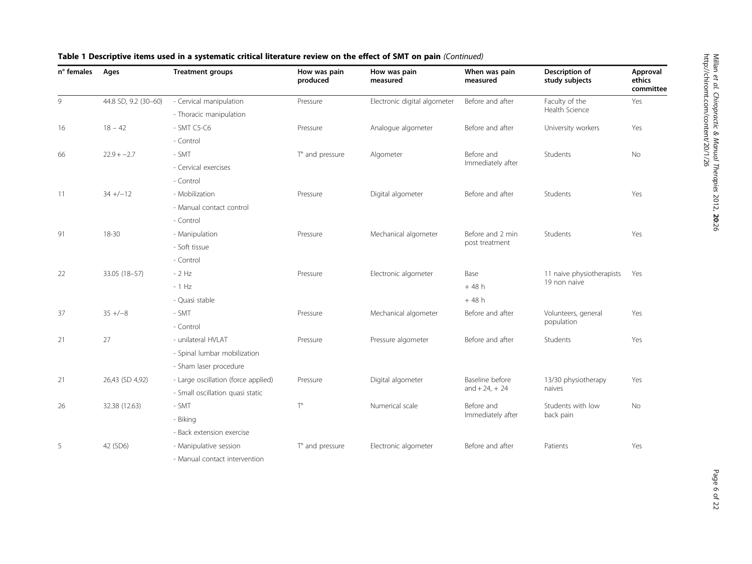| n° females | Ages                 | <b>Treatment groups</b>             | How was pain<br>produced | How was pain<br>measured     | When was pain<br>measured | Description of<br>study subjects | Approval<br>ethics<br>committee |
|------------|----------------------|-------------------------------------|--------------------------|------------------------------|---------------------------|----------------------------------|---------------------------------|
| 9          | 44.8 SD, 9.2 (30-60) | - Cervical manipulation             | Pressure                 | Electronic digital algometer | Before and after          | Faculty of the                   | Yes                             |
|            |                      | - Thoracic manipulation             |                          |                              |                           | Health Science                   |                                 |
| 16         | $18 - 42$            | $-$ SMT C5-C6                       | Pressure                 | Analogue algometer           | Before and after          | University workers               | Yes                             |
|            |                      | - Control                           |                          |                              |                           |                                  |                                 |
| 66         | $22.9 + -2.7$        | - SMT                               | T° and pressure          | Algometer                    | Before and                | Students                         | <b>No</b>                       |
|            |                      | - Cervical exercises                |                          |                              | Immediately after         |                                  |                                 |
|            |                      | - Control                           |                          |                              |                           |                                  |                                 |
| 11         | $34 + (-12)$         | - Mobilization                      | Pressure                 | Digital algometer            | Before and after          | Students                         | Yes                             |
|            |                      | - Manual contact control            |                          |                              |                           |                                  |                                 |
|            |                      | - Control                           |                          |                              |                           |                                  |                                 |
| 91         | 18-30                | - Manipulation                      | Pressure                 | Mechanical algometer         | Before and 2 min          | Students                         | Yes                             |
|            |                      | - Soft tissue                       |                          |                              | post treatment            |                                  |                                 |
|            |                      | - Control                           |                          |                              |                           |                                  |                                 |
| 22         | 33.05 (18-57)        | $-2 Hz$                             | Pressure                 | Electronic algometer         | Base                      | 11 naive physiotherapists        | Yes                             |
|            |                      | $-1$ Hz                             |                          |                              | $+48h$                    | 19 non naive                     |                                 |
|            |                      | - Quasi stable                      |                          |                              | $+48h$                    |                                  |                                 |
| 37         | $35 + (-8)$          | - SMT                               | Pressure                 | Mechanical algometer         | Before and after          | Volunteers, general              | Yes                             |
|            |                      | - Control                           |                          |                              |                           | population                       |                                 |
| 21         | 27                   | - unilateral HVLAT                  | Pressure                 | Pressure algometer           | Before and after          | Students                         | Yes                             |
|            |                      | - Spinal lumbar mobilization        |                          |                              |                           |                                  |                                 |
|            |                      | - Sham laser procedure              |                          |                              |                           |                                  |                                 |
| 21         | 26,43 (SD 4,92)      | - Large oscillation (force applied) | Pressure                 | Digital algometer            | Baseline before           | 13/30 physiotherapy              | Yes                             |
|            |                      | - Small oscillation quasi static    |                          |                              | and + 24, + 24            | naives                           |                                 |
| 26         | 32.38 (12.63)        | - SMT                               | $T^{\circ}$              | Numerical scale              | Before and                | Students with low                | No                              |
|            |                      | - Biking                            |                          |                              | Immediately after         | back pain                        |                                 |
|            |                      | - Back extension exercise           |                          |                              |                           |                                  |                                 |
| 5          | 42 (SD6)             | - Manipulative session              | T° and pressure          | Electronic algometer         | Before and after          | Patients                         | Yes                             |
|            |                      | - Manual contact intervention       |                          |                              |                           |                                  |                                 |

# Table 1 Descriptive items used in a systematic critical literature review on the effect of SMT on pain (Continued)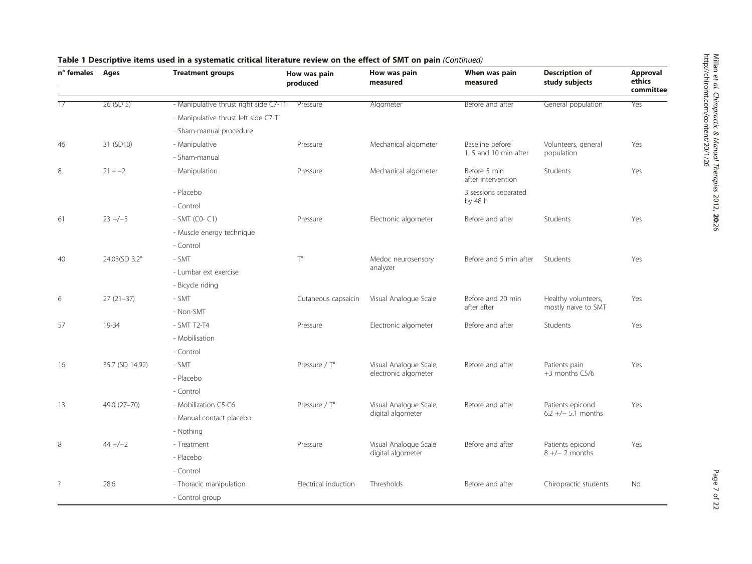| n° females | Ages            | <b>Treatment groups</b>                | How was pain<br>produced | How was pain<br>measured | When was pain<br>measured          | <b>Description of</b><br>study subjects | Approval<br>ethics<br>committee |
|------------|-----------------|----------------------------------------|--------------------------|--------------------------|------------------------------------|-----------------------------------------|---------------------------------|
| 17         | 26 (SD 5)       | - Manipulative thrust right side C7-T1 | Pressure                 | Algometer                | Before and after                   | General population                      | Yes                             |
|            |                 | - Manipulative thrust left side C7-T1  |                          |                          |                                    |                                         |                                 |
|            |                 | - Sham-manual procedure                |                          |                          |                                    |                                         |                                 |
| 46         | 31 (SD10)       | - Manipulative                         | Pressure                 | Mechanical algometer     | Baseline before                    | Volunteers, general                     | Yes                             |
|            |                 | - Sham-manual                          |                          |                          | 1, 5 and 10 min after              | population                              |                                 |
| 8          | $21 + -2$       | - Manipulation                         | Pressure                 | Mechanical algometer     | Before 5 min<br>after intervention | Students                                | Yes                             |
|            |                 | - Placebo                              |                          |                          | 3 sessions separated               |                                         |                                 |
|            |                 | - Control                              |                          |                          | by 48 h                            |                                         |                                 |
| 61         | $23 + (-5)$     | - SMT (CO- $C1$ )                      | Pressure                 | Electronic algometer     | Before and after                   | Students                                | Yes                             |
|            |                 | - Muscle energy technique              |                          |                          |                                    |                                         |                                 |
|            |                 | - Control                              |                          |                          |                                    |                                         |                                 |
| 40         | 24.03(SD 3.2°   | - SMT                                  | $T^{\circ}$              | Medoc neurosensory       | Before and 5 min after             | Students                                | Yes                             |
|            |                 | - Lumbar ext exercise                  |                          | analyzer                 |                                    |                                         |                                 |
|            |                 | - Bicycle riding                       |                          |                          |                                    |                                         |                                 |
| 6          | $27(21-37)$     | - SMT                                  | Cutaneous capsaicin      | Visual Analogue Scale    | Before and 20 min                  | Healthy volunteers,                     | Yes                             |
|            |                 | - Non-SMT                              |                          |                          | after after                        | mostly naive to SMT                     |                                 |
| 57         | 19-34           | $-$ SMT T2-T4                          | Pressure                 | Electronic algometer     | Before and after                   | Students                                | Yes                             |
|            |                 | - Mobilisation                         |                          |                          |                                    |                                         |                                 |
|            |                 | - Control                              |                          |                          |                                    |                                         |                                 |
| 16         | 35.7 (SD 14.92) | - SMT                                  | Pressure / T°            | Visual Analogue Scale,   | Before and after                   | Patients pain                           | Yes                             |
|            |                 | - Placebo                              |                          | electronic algometer     |                                    | $+3$ months $C5/6$                      |                                 |
|            |                 | - Control                              |                          |                          |                                    |                                         |                                 |
| 13         | 49.0 (27-70)    | - Mobilization C5-C6                   | Pressure / T°            | Visual Analogue Scale,   | Before and after                   | Patients epicond                        | Yes                             |
|            |                 | - Manual contact placebo               |                          | digital algometer        |                                    | $6.2 +/- 5.1$ months                    |                                 |
|            |                 | - Nothing                              |                          |                          |                                    |                                         |                                 |
| 8          | $44 + (-2)$     | - Treatment                            | Pressure                 | Visual Analogue Scale    | Before and after                   | Patients epicond                        | Yes                             |
|            |                 | - Placebo                              |                          | digital algometer        |                                    | $8 +/- 2$ months                        |                                 |
|            |                 | - Control                              |                          |                          |                                    |                                         |                                 |
|            | 28.6            | - Thoracic manipulation                | Electrical induction     | Thresholds               | Before and after                   | Chiropractic students                   | No                              |
|            |                 | - Control group                        |                          |                          |                                    |                                         |                                 |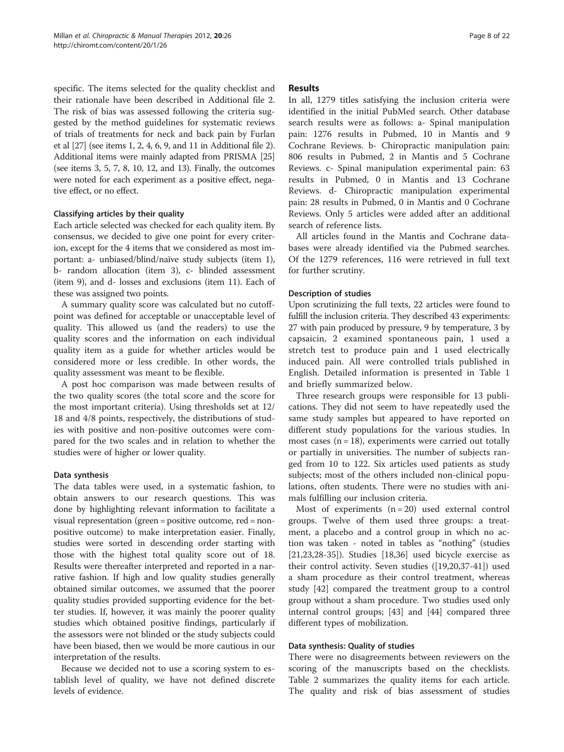specific. The items selected for the quality checklist and their rationale have been described in Additional file [2](#page-20-0). The risk of bias was assessed following the criteria suggested by the method guidelines for systematic reviews of trials of treatments for neck and back pain by Furlan et al [\[27](#page-21-0)] (see items 1, 2, 4, 6, 9, and 11 in Additional file [2](#page-20-0)). Additional items were mainly adapted from PRISMA [\[25](#page-20-0)] (see items 3, 5, 7, 8, 10, 12, and 13). Finally, the outcomes were noted for each experiment as a positive effect, negative effect, or no effect.

### Classifying articles by their quality

Each article selected was checked for each quality item. By consensus, we decided to give one point for every criterion, except for the 4 items that we considered as most important: a- unbiased/blind/naïve study subjects (item 1), b- random allocation (item 3), c- blinded assessment (item 9), and d- losses and exclusions (item 11). Each of these was assigned two points.

A summary quality score was calculated but no cutoffpoint was defined for acceptable or unacceptable level of quality. This allowed us (and the readers) to use the quality scores and the information on each individual quality item as a guide for whether articles would be considered more or less credible. In other words, the quality assessment was meant to be flexible.

A post hoc comparison was made between results of the two quality scores (the total score and the score for the most important criteria). Using thresholds set at 12/ 18 and 4/8 points, respectively, the distributions of studies with positive and non-positive outcomes were compared for the two scales and in relation to whether the studies were of higher or lower quality.

### Data synthesis

The data tables were used, in a systematic fashion, to obtain answers to our research questions. This was done by highlighting relevant information to facilitate a visual representation (green = positive outcome, red = nonpositive outcome) to make interpretation easier. Finally, studies were sorted in descending order starting with those with the highest total quality score out of 18. Results were thereafter interpreted and reported in a narrative fashion. If high and low quality studies generally obtained similar outcomes, we assumed that the poorer quality studies provided supporting evidence for the better studies. If, however, it was mainly the poorer quality studies which obtained positive findings, particularly if the assessors were not blinded or the study subjects could have been biased, then we would be more cautious in our interpretation of the results.

Because we decided not to use a scoring system to establish level of quality, we have not defined discrete levels of evidence.

#### Results

In all, 1279 titles satisfying the inclusion criteria were identified in the initial PubMed search. Other database search results were as follows: a- Spinal manipulation pain: 1276 results in Pubmed, 10 in Mantis and 9 Cochrane Reviews. b- Chiropractic manipulation pain: 806 results in Pubmed, 2 in Mantis and 5 Cochrane Reviews. c- Spinal manipulation experimental pain: 63 results in Pubmed, 0 in Mantis and 13 Cochrane Reviews. d- Chiropractic manipulation experimental pain: 28 results in Pubmed, 0 in Mantis and 0 Cochrane Reviews. Only 5 articles were added after an additional search of reference lists.

All articles found in the Mantis and Cochrane databases were already identified via the Pubmed searches. Of the 1279 references, 116 were retrieved in full text for further scrutiny.

#### Description of studies

Upon scrutinizing the full texts, 22 articles were found to fulfill the inclusion criteria. They described 43 experiments: 27 with pain produced by pressure, 9 by temperature, 3 by capsaicin, 2 examined spontaneous pain, 1 used a stretch test to produce pain and 1 used electrically induced pain. All were controlled trials published in English. Detailed information is presented in Table [1](#page-3-0) and briefly summarized below.

Three research groups were responsible for 13 publications. They did not seem to have repeatedly used the same study samples but appeared to have reported on different study populations for the various studies. In most cases  $(n = 18)$ , experiments were carried out totally or partially in universities. The number of subjects ranged from 10 to 122. Six articles used patients as study subjects; most of the others included non-clinical populations, often students. There were no studies with animals fulfilling our inclusion criteria.

Most of experiments  $(n = 20)$  used external control groups. Twelve of them used three groups: a treatment, a placebo and a control group in which no action was taken - noted in tables as "nothing" (studies [[21,23,](#page-20-0)[28-35\]](#page-21-0)). Studies [\[18](#page-20-0)[,36\]](#page-21-0) used bicycle exercise as their control activity. Seven studies ([[19,20](#page-20-0)[,37](#page-21-0)-[41\]](#page-21-0)) used a sham procedure as their control treatment, whereas study [\[42](#page-21-0)] compared the treatment group to a control group without a sham procedure. Two studies used only internal control groups; [\[43](#page-21-0)] and [\[44](#page-21-0)] compared three different types of mobilization.

### Data synthesis: Quality of studies

There were no disagreements between reviewers on the scoring of the manuscripts based on the checklists. Table [2](#page-9-0) summarizes the quality items for each article. The quality and risk of bias assessment of studies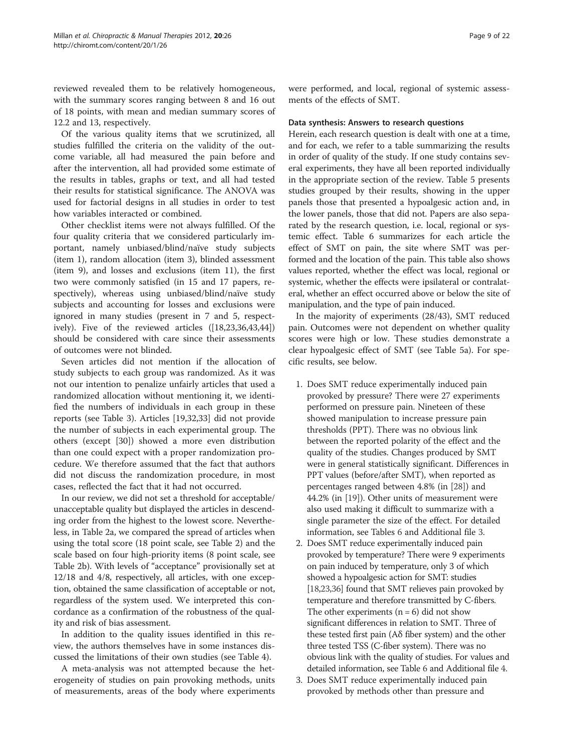reviewed revealed them to be relatively homogeneous, with the summary scores ranging between 8 and 16 out of 18 points, with mean and median summary scores of 12.2 and 13, respectively.

Of the various quality items that we scrutinized, all studies fulfilled the criteria on the validity of the outcome variable, all had measured the pain before and after the intervention, all had provided some estimate of the results in tables, graphs or text, and all had tested their results for statistical significance. The ANOVA was used for factorial designs in all studies in order to test how variables interacted or combined.

Other checklist items were not always fulfilled. Of the four quality criteria that we considered particularly important, namely unbiased/blind/naïve study subjects (item 1), random allocation (item 3), blinded assessment (item 9), and losses and exclusions (item 11), the first two were commonly satisfied (in 15 and 17 papers, respectively), whereas using unbiased/blind/naïve study subjects and accounting for losses and exclusions were ignored in many studies (present in 7 and 5, respectively). Five of the reviewed articles ([[18](#page-20-0),[23](#page-20-0)[,36,43,44](#page-21-0)]) should be considered with care since their assessments of outcomes were not blinded.

Seven articles did not mention if the allocation of study subjects to each group was randomized. As it was not our intention to penalize unfairly articles that used a randomized allocation without mentioning it, we identified the numbers of individuals in each group in these reports (see Table [3\)](#page-12-0). Articles [[19](#page-20-0),[32](#page-21-0),[33](#page-21-0)] did not provide the number of subjects in each experimental group. The others (except [\[30](#page-21-0)]) showed a more even distribution than one could expect with a proper randomization procedure. We therefore assumed that the fact that authors did not discuss the randomization procedure, in most cases, reflected the fact that it had not occurred.

In our review, we did not set a threshold for acceptable/ unacceptable quality but displayed the articles in descending order from the highest to the lowest score. Nevertheless, in Table [2](#page-9-0)a, we compared the spread of articles when using the total score (18 point scale, see Table [2](#page-9-0)) and the scale based on four high-priority items (8 point scale, see Table [2b](#page-9-0)). With levels of "acceptance" provisionally set at 12/18 and 4/8, respectively, all articles, with one exception, obtained the same classification of acceptable or not, regardless of the system used. We interpreted this concordance as a confirmation of the robustness of the quality and risk of bias assessment.

In addition to the quality issues identified in this review, the authors themselves have in some instances discussed the limitations of their own studies (see Table [4](#page-13-0)).

A meta-analysis was not attempted because the heterogeneity of studies on pain provoking methods, units of measurements, areas of the body where experiments were performed, and local, regional of systemic assessments of the effects of SMT.

#### Data synthesis: Answers to research questions

Herein, each research question is dealt with one at a time, and for each, we refer to a table summarizing the results in order of quality of the study. If one study contains several experiments, they have all been reported individually in the appropriate section of the review. Table [5](#page-14-0) presents studies grouped by their results, showing in the upper panels those that presented a hypoalgesic action and, in the lower panels, those that did not. Papers are also separated by the research question, i.e. local, regional or systemic effect. Table [6](#page-16-0) summarizes for each article the effect of SMT on pain, the site where SMT was performed and the location of the pain. This table also shows values reported, whether the effect was local, regional or systemic, whether the effects were ipsilateral or contralateral, whether an effect occurred above or below the site of manipulation, and the type of pain induced.

In the majority of experiments (28/43), SMT reduced pain. Outcomes were not dependent on whether quality scores were high or low. These studies demonstrate a clear hypoalgesic effect of SMT (see Table [5](#page-14-0)a). For specific results, see below.

- 1. Does SMT reduce experimentally induced pain provoked by pressure? There were 27 experiments performed on pressure pain. Nineteen of these showed manipulation to increase pressure pain thresholds (PPT). There was no obvious link between the reported polarity of the effect and the quality of the studies. Changes produced by SMT were in general statistically significant. Differences in PPT values (before/after SMT), when reported as percentages ranged between 4.8% (in [\[28\]](#page-21-0)) and 44.2% (in [[19](#page-20-0)]). Other units of measurement were also used making it difficult to summarize with a single parameter the size of the effect. For detailed information, see Tables [6](#page-13-0) and Additional file [3](#page-20-0).
- 2. Does SMT reduce experimentally induced pain provoked by temperature? There were 9 experiments on pain induced by temperature, only 3 of which showed a hypoalgesic action for SMT: studies [\[18,23](#page-20-0)[,36\]](#page-21-0) found that SMT relieves pain provoked by temperature and therefore transmitted by C-fibers. The other experiments  $(n = 6)$  did not show significant differences in relation to SMT. Three of these tested first pain (Aδ fiber system) and the other three tested TSS (C-fiber system). There was no obvious link with the quality of studies. For values and detailed information, see Table [6](#page-13-0) and Additional file [4](#page-20-0).
- 3. Does SMT reduce experimentally induced pain provoked by methods other than pressure and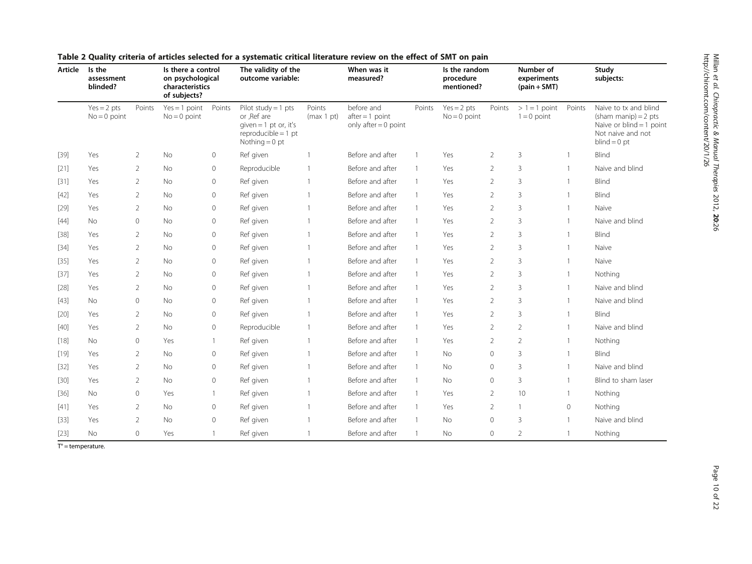| Article | Is the<br>assessment<br>blinded? |                       | Is there a control<br>on psychological<br>characteristics<br>of subjects? |                     | The validity of the<br>outcome variable:                                                                      |                      | When was it<br>measured?                                  |              | Is the random<br>procedure<br>mentioned? |                | Number of<br>experiments<br>$(pain + SMT)$ |              | Study<br>subjects:                                                                                                   |
|---------|----------------------------------|-----------------------|---------------------------------------------------------------------------|---------------------|---------------------------------------------------------------------------------------------------------------|----------------------|-----------------------------------------------------------|--------------|------------------------------------------|----------------|--------------------------------------------|--------------|----------------------------------------------------------------------------------------------------------------------|
|         | $Yes = 2 pts$<br>$No = 0$ point  | Points                | $Yes = 1 point$<br>$No = 0$ point                                         | Points              | Pilot study = $1$ pts<br>or , Ref are<br>given $= 1$ pt or, it's<br>reproducible = $1$ pt<br>Nothing $= 0$ pt | Points<br>(max 1 pt) | before and<br>$after = 1 point$<br>only after $= 0$ point | Points       | $Yes = 2 pts$<br>$No = 0$ point          | Points         | $> 1 = 1$ point<br>$1 = 0$ point           | Points       | Naive to tx and blind<br>$(sham manip) = 2 pts$<br>Naive or $blind = 1$ point<br>Not naive and not<br>$blind = 0$ pt |
| $[39]$  | Yes                              | $\overline{2}$        | No                                                                        | $\circ$             | Ref given                                                                                                     |                      | Before and after                                          | $\mathbf{1}$ | Yes                                      | $\overline{2}$ | 3                                          | 1            | Blind                                                                                                                |
| $[21]$  | Yes                              | $\overline{2}$        | No                                                                        | 0                   | Reproducible                                                                                                  |                      | Before and after                                          | $\mathbf{1}$ | Yes                                      | $\overline{2}$ | 3                                          | $\mathbf{1}$ | Naive and blind                                                                                                      |
| $[31]$  | Yes                              | $\overline{2}$        | No                                                                        | 0                   | Ref given                                                                                                     |                      | Before and after                                          | $\mathbf{1}$ | Yes                                      | $\overline{2}$ | 3                                          |              | Blind                                                                                                                |
| $[42]$  | Yes                              | $\mathbf{2}^{\prime}$ | No                                                                        | $\circ$             | Ref given                                                                                                     |                      | Before and after                                          | $\mathbf{1}$ | Yes                                      | $\overline{2}$ | 3                                          | -1           | Blind                                                                                                                |
| $[29]$  | Yes                              | $\overline{2}$        | No                                                                        | 0                   | Ref given                                                                                                     |                      | Before and after                                          | $\mathbf{1}$ | Yes                                      | 2              | $\overline{3}$                             | $\mathbf{1}$ | Naive                                                                                                                |
| $[44]$  | <b>No</b>                        | $\mathbf{0}$          | No                                                                        | $\circ$             | Ref given                                                                                                     |                      | Before and after                                          | $\mathbf{1}$ | Yes                                      | $\overline{2}$ | $\overline{3}$                             | $\mathbf{1}$ | Naive and blind                                                                                                      |
| $[38]$  | Yes                              | $\overline{2}$        | No                                                                        | 0                   | Ref given                                                                                                     |                      | Before and after                                          | $\mathbf{1}$ | Yes                                      | $\overline{2}$ | 3                                          |              | Blind                                                                                                                |
| $[34]$  | Yes                              | $\overline{2}$        | No                                                                        | 0                   | Ref given                                                                                                     |                      | Before and after                                          | $\mathbf{1}$ | Yes                                      | $\overline{2}$ | 3                                          |              | Naive                                                                                                                |
| $[35]$  | Yes                              | $\overline{2}$        | No                                                                        | $\mathsf{O}\xspace$ | Ref given                                                                                                     |                      | Before and after                                          | $\mathbf{1}$ | Yes                                      | 2              | $\overline{3}$                             | -1           | Naive                                                                                                                |
| $[37]$  | Yes                              | $\overline{2}$        | No                                                                        | 0                   | Ref given                                                                                                     |                      | Before and after                                          | $\mathbf{1}$ | Yes                                      | $\overline{2}$ | 3                                          |              | Nothing                                                                                                              |
| $[28]$  | Yes                              | $\overline{2}$        | No                                                                        | 0                   | Ref given                                                                                                     |                      | Before and after                                          | $\mathbf{1}$ | Yes                                      | $\overline{2}$ | $\overline{3}$                             |              | Naive and blind                                                                                                      |
| $[43]$  | <b>No</b>                        | $\circ$               | No                                                                        | 0                   | Ref given                                                                                                     |                      | Before and after                                          | $\mathbf{1}$ | Yes                                      | 2              | $\overline{3}$                             | -1           | Naive and blind                                                                                                      |
| $[20]$  | Yes                              | $\overline{2}$        | No                                                                        | $\mathbf 0$         | Ref given                                                                                                     |                      | Before and after                                          | $\mathbf{1}$ | Yes                                      | $\overline{2}$ | 3                                          | -1           | Blind                                                                                                                |
| $[40]$  | Yes                              | $\overline{2}$        | No                                                                        | $\circ$             | Reproducible                                                                                                  |                      | Before and after                                          | $\mathbf{1}$ | Yes                                      | $\overline{2}$ | $\overline{2}$                             | 1            | Naive and blind                                                                                                      |
| $[18]$  | No                               | $\mathbf{0}$          | Yes                                                                       | $\mathbf{1}$        | Ref given                                                                                                     |                      | Before and after                                          | $\mathbf{1}$ | Yes                                      | $\overline{2}$ | $\overline{2}$                             |              | Nothing                                                                                                              |
| $[19]$  | Yes                              | $\mathbf{2}^{\prime}$ | No                                                                        | $\mathbf 0$         | Ref given                                                                                                     |                      | Before and after                                          | $\mathbf{1}$ | No                                       | $\mathbf 0$    | 3                                          | -1           | Blind                                                                                                                |
| $[32]$  | Yes                              | $\overline{2}$        | No                                                                        | $\circ$             | Ref given                                                                                                     |                      | Before and after                                          | $\mathbf{1}$ | No                                       | $\mathbf{0}$   | 3                                          | 1            | Naive and blind                                                                                                      |
| $[30]$  | Yes                              | $\overline{2}$        | No                                                                        | 0                   | Ref given                                                                                                     |                      | Before and after                                          | $\mathbf{1}$ | No                                       | $\mathbf{0}$   | 3                                          | $\mathbf{1}$ | Blind to sham laser                                                                                                  |
| $[36]$  | <b>No</b>                        | $\circ$               | Yes                                                                       | $\mathbf{1}$        | Ref given                                                                                                     |                      | Before and after                                          | $\mathbf{1}$ | Yes                                      | $\overline{2}$ | 10                                         |              | Nothing                                                                                                              |
| $[41]$  | Yes                              | $\mathbf{2}^{\prime}$ | No                                                                        | $\circ$             | Ref given                                                                                                     |                      | Before and after                                          | $\mathbf{1}$ | Yes                                      | $\overline{2}$ | $\overline{1}$                             | $\mathbf 0$  | Nothing                                                                                                              |
| $[33]$  | Yes                              | $\overline{2}$        | <b>No</b>                                                                 | $\mathbf{0}$        | Ref given                                                                                                     |                      | Before and after                                          | $\mathbf{1}$ | No                                       | $\Omega$       | 3                                          |              | Naive and blind                                                                                                      |
| $[23]$  | <b>No</b>                        | $\Omega$              | Yes                                                                       | $\mathbf{1}$        | Ref given                                                                                                     |                      | Before and after                                          | $\mathbf{1}$ | <b>No</b>                                | $\Omega$       | $\overline{2}$                             | $\mathbf{1}$ | Nothing                                                                                                              |

<span id="page-9-0"></span>

 $T<sup>o</sup>$  = temperature.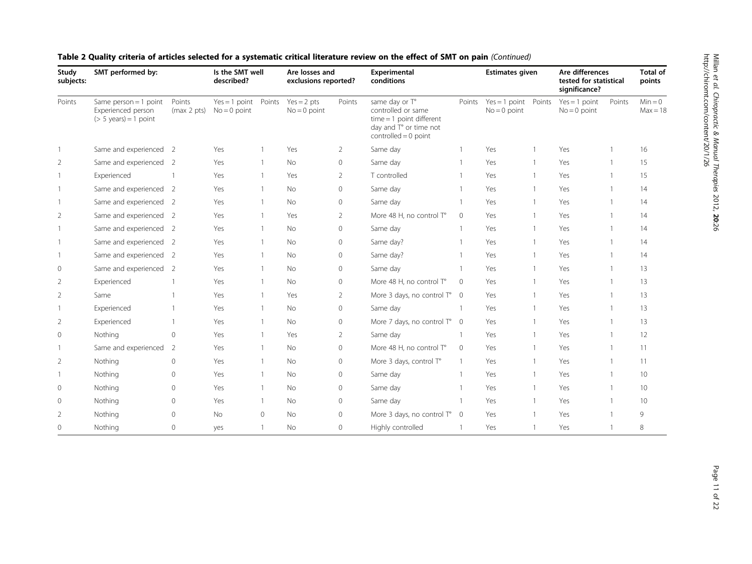| Study<br>subjects: | SMT performed by:                                                         |                       | Is the SMT well<br>described?                          |                |                | Are losses and<br>Experimental<br>exclusions reported?<br>conditions |                                                                                                                        |                | <b>Estimates given</b>                   | Are differences<br>tested for statistical<br>significance? |                                   | <b>Total of</b><br>points |                         |
|--------------------|---------------------------------------------------------------------------|-----------------------|--------------------------------------------------------|----------------|----------------|----------------------------------------------------------------------|------------------------------------------------------------------------------------------------------------------------|----------------|------------------------------------------|------------------------------------------------------------|-----------------------------------|---------------------------|-------------------------|
| Points             | Same person = $1$ point<br>Experienced person<br>$($ > 5 years) = 1 point | Points<br>(max 2 pts) | $Yes = 1 point$ Points $Yes = 2 pts$<br>$No = 0$ point |                | $No = 0$ point | Points                                                               | same day or T°<br>controlled or same<br>$time = 1$ point different<br>day and T° or time not<br>controlled $= 0$ point | Points         | $Yes = 1 point$ Points<br>$No = 0$ point |                                                            | $Yes = 1 point$<br>$No = 0$ point | Points                    | $Min = 0$<br>$Max = 18$ |
| $\mathbf{1}$       | Same and experienced                                                      | -2                    | Yes                                                    | $\overline{1}$ | Yes            | 2                                                                    | Same day                                                                                                               |                | Yes                                      |                                                            | Yes                               |                           | 16                      |
| 2                  | Same and experienced                                                      | -2                    | Yes                                                    | $\overline{1}$ | <b>No</b>      | $\mathsf{O}\xspace$                                                  | Same day                                                                                                               |                | Yes                                      |                                                            | Yes                               |                           | 15                      |
| $\mathbf{1}$       | Experienced                                                               | $\mathbf{1}$          | Yes                                                    | $\overline{1}$ | Yes            | 2                                                                    | T controlled                                                                                                           |                | Yes                                      |                                                            | Yes                               | -1                        | 15                      |
| $\overline{1}$     | Same and experienced                                                      | -2                    | Yes                                                    | $\overline{1}$ | <b>No</b>      | $\circ$                                                              | Same day                                                                                                               |                | Yes                                      |                                                            | Yes                               | $\overline{1}$            | 14                      |
| $\overline{1}$     | Same and experienced 2                                                    |                       | Yes                                                    | $\overline{1}$ | <b>No</b>      | 0                                                                    | Same day                                                                                                               | $\overline{1}$ | Yes                                      |                                                            | Yes                               |                           | 14                      |
| 2                  | Same and experienced                                                      | -2                    | Yes                                                    | $\overline{1}$ | Yes            | 2                                                                    | More 48 H, no control T°                                                                                               | $\Omega$       | Yes                                      | $\mathbf{1}$                                               | Yes                               | $\overline{1}$            | 14                      |
| $\overline{1}$     | Same and experienced 2                                                    |                       | Yes                                                    | $\overline{1}$ | <b>No</b>      | $\circ$                                                              | Same day                                                                                                               |                | Yes                                      |                                                            | Yes                               |                           | 14                      |
| $\mathbf{1}$       | Same and experienced 2                                                    |                       | Yes                                                    | $\overline{1}$ | <b>No</b>      | 0                                                                    | Same day?                                                                                                              |                | Yes                                      |                                                            | Yes                               |                           | 14                      |
| $\overline{1}$     | Same and experienced                                                      | $\overline{2}$        | Yes                                                    | $\overline{1}$ | <b>No</b>      | $\circ$                                                              | Same day?                                                                                                              | $\overline{1}$ | Yes                                      | $\mathbf{1}$                                               | Yes                               | $\overline{1}$            | 14                      |
| $\circ$            | Same and experienced                                                      | 2                     | Yes                                                    | $\overline{1}$ | <b>No</b>      | $\circ$                                                              | Same day                                                                                                               |                | Yes                                      |                                                            | Yes                               |                           | 13                      |
| 2                  | Experienced                                                               |                       | Yes                                                    | $\overline{1}$ | <b>No</b>      | 0                                                                    | More 48 H, no control T°                                                                                               | $\bigcap$      | Yes                                      |                                                            | Yes                               |                           | 13                      |
| 2                  | Same                                                                      | $\mathbf{1}$          | Yes                                                    | $\overline{1}$ | Yes            | 2                                                                    | More 3 days, no control T°                                                                                             | $\overline{0}$ | Yes                                      |                                                            | Yes                               | $\overline{1}$            | 13                      |
| $\overline{1}$     | Experienced                                                               |                       | Yes                                                    | $\overline{1}$ | <b>No</b>      | $\circ$                                                              | Same day                                                                                                               | $\overline{1}$ | Yes                                      |                                                            | Yes                               |                           | 13                      |
| 2                  | Experienced                                                               |                       | Yes                                                    | $\overline{1}$ | <b>No</b>      | $\circ$                                                              | More 7 days, no control T°                                                                                             | $\overline{0}$ | Yes                                      |                                                            | Yes                               |                           | 13                      |
| $\circ$            | Nothing                                                                   | $\circ$               | Yes                                                    | $\overline{1}$ | Yes            | 2                                                                    | Same day                                                                                                               | $\overline{1}$ | Yes                                      | $\mathbf{1}$                                               | Yes                               | $\overline{1}$            | 12                      |
|                    | Same and experienced                                                      | 2                     | Yes                                                    | $\overline{1}$ | <b>No</b>      | $\circ$                                                              | More 48 H, no control T°                                                                                               | $\Omega$       | Yes                                      |                                                            | Yes                               |                           | 11                      |
| 2                  | Nothing                                                                   | $\mathsf{O}\xspace$   | Yes                                                    | $\overline{1}$ | <b>No</b>      | $\circ$                                                              | More 3 days, control T°                                                                                                |                | Yes                                      | $\overline{1}$                                             | Yes                               | $\mathbf{1}$              | 11                      |
|                    | Nothing                                                                   | $\mathsf{O}\xspace$   | Yes                                                    | $\overline{1}$ | <b>No</b>      | $\circ$                                                              | Same day                                                                                                               | $\overline{1}$ | Yes                                      |                                                            | Yes                               | $\mathbf{1}$              | 10                      |
| $\circ$            | Nothing                                                                   | $\mathsf{O}\xspace$   | Yes                                                    | $\overline{1}$ | No             | $\circ$                                                              | Same day                                                                                                               |                | Yes                                      |                                                            | Yes                               |                           | 10                      |
| $\circ$            | Nothing                                                                   | $\mathsf{O}\xspace$   | Yes                                                    | $\overline{1}$ | <b>No</b>      | $\Omega$                                                             | Same day                                                                                                               |                | Yes                                      |                                                            | Yes                               | $\overline{1}$            | 10                      |
| 2                  | Nothing                                                                   | $\mathsf{O}\xspace$   | <b>No</b>                                              | $\mathbf{0}$   | <b>No</b>      | $\circ$                                                              | More 3 days, no control T°                                                                                             | $\overline{0}$ | Yes                                      |                                                            | Yes                               |                           | 9                       |
| $\circ$            | Nothing                                                                   | $\circ$               | yes                                                    | $\mathbf{1}$   | <b>No</b>      | $\circ$                                                              | Highly controlled                                                                                                      |                | Yes                                      |                                                            | Yes                               |                           | 8                       |

# Table 2 Quality criteria of articles selected for a systematic critical literature review on the effect of SMT on pain (Continued)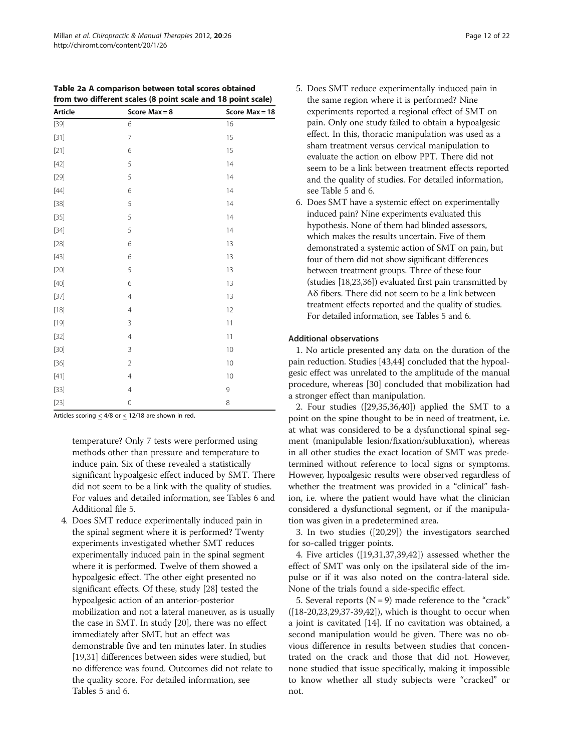| <b>Article</b> | Score $Max = 8$ | Score $Max = 18$ |
|----------------|-----------------|------------------|
| $[39]$         | 6               | 16               |
| [31]           | $\overline{7}$  | 15               |
| [21]           | 6               | 15               |
| $[42]$         | 5               | 14               |
| [29]           | 5               | 14               |
| $[44]$         | 6               | 14               |
| [38]           | 5               | 14               |
| [35]           | 5               | 14               |
| $[34]$         | 5               | 14               |
| [28]           | 6               | 13               |
| $[43]$         | 6               | 13               |
| $[20]$         | 5               | 13               |
| $[40]$         | 6               | 13               |
| [37]           | $\overline{4}$  | 13               |
| $[18]$         | $\overline{4}$  | 12               |
| $[19]$         | $\overline{3}$  | 11               |
| $[32]$         | $\overline{4}$  | 11               |
| $[30]$         | $\overline{3}$  | $10$             |
| $[36]$         | $\sqrt{2}$      | 10               |
| $[41]$         | $\overline{4}$  | $10$             |
| [33]           | $\overline{4}$  | 9                |
| $[23]$         | $\mathcal O$    | 8                |

| Table 2a A comparison between total scores obtained          |  |  |
|--------------------------------------------------------------|--|--|
| from two different scales (8 point scale and 18 point scale) |  |  |

Articles scoring < 4/8 or < 12/18 are shown in red.

temperature? Only 7 tests were performed using methods other than pressure and temperature to induce pain. Six of these revealed a statistically significant hypoalgesic effect induced by SMT. There did not seem to be a link with the quality of studies. For values and detailed information, see Tables [6](#page-13-0) and Additional file [5](#page-20-0).

4. Does SMT reduce experimentally induced pain in the spinal segment where it is performed? Twenty experiments investigated whether SMT reduces experimentally induced pain in the spinal segment where it is performed. Twelve of them showed a hypoalgesic effect. The other eight presented no significant effects. Of these, study [[28](#page-21-0)] tested the hypoalgesic action of an anterior-posterior mobilization and not a lateral maneuver, as is usually the case in SMT. In study [\[20\]](#page-20-0), there was no effect immediately after SMT, but an effect was demonstrable five and ten minutes later. In studies [\[19](#page-20-0)[,31\]](#page-21-0) differences between sides were studied, but no difference was found. Outcomes did not relate to the quality score. For detailed information, see Tables [5](#page-12-0) and [6.](#page-13-0)

| 5. Does SMT reduce experimentally induced pain in     |
|-------------------------------------------------------|
| the same region where it is performed? Nine           |
| experiments reported a regional effect of SMT on      |
| pain. Only one study failed to obtain a hypoalgesic   |
| effect. In this, thoracic manipulation was used as a  |
| sham treatment versus cervical manipulation to        |
| evaluate the action on elbow PPT. There did not       |
| seem to be a link between treatment effects reported  |
| and the quality of studies. For detailed information, |
| see Table 5 and 6.                                    |

6. Does SMT have a systemic effect on experimentally induced pain? Nine experiments evaluated this hypothesis. None of them had blinded assessors, which makes the results uncertain. Five of them demonstrated a systemic action of SMT on pain, but four of them did not show significant differences between treatment groups. Three of these four (studies [\[18,23](#page-20-0)[,36\]](#page-21-0)) evaluated first pain transmitted by Aδ fibers. There did not seem to be a link between treatment effects reported and the quality of studies. For detailed information, see Tables [5](#page-12-0) and [6](#page-13-0).

#### Additional observations

1. No article presented any data on the duration of the pain reduction. Studies [\[43,44\]](#page-21-0) concluded that the hypoalgesic effect was unrelated to the amplitude of the manual procedure, whereas [\[30\]](#page-21-0) concluded that mobilization had a stronger effect than manipulation.

2. Four studies ([[29,35,36,40\]](#page-21-0)) applied the SMT to a point on the spine thought to be in need of treatment, i.e. at what was considered to be a dysfunctional spinal segment (manipulable lesion/fixation/subluxation), whereas in all other studies the exact location of SMT was predetermined without reference to local signs or symptoms. However, hypoalgesic results were observed regardless of whether the treatment was provided in a "clinical" fashion, i.e. where the patient would have what the clinician considered a dysfunctional segment, or if the manipulation was given in a predetermined area.

3. In two studies ([[20,](#page-20-0)[29\]](#page-21-0)) the investigators searched for so-called trigger points.

4. Five articles ([\[19](#page-20-0)[,31,37,39,42\]](#page-21-0)) assessed whether the effect of SMT was only on the ipsilateral side of the impulse or if it was also noted on the contra-lateral side. None of the trials found a side-specific effect.

5. Several reports  $(N = 9)$  made reference to the "crack" ([\[18-20,23](#page-20-0)[,29,37](#page-21-0)-[39,42\]](#page-21-0)), which is thought to occur when a joint is cavitated [\[14\]](#page-20-0). If no cavitation was obtained, a second manipulation would be given. There was no obvious difference in results between studies that concentrated on the crack and those that did not. However, none studied that issue specifically, making it impossible to know whether all study subjects were "cracked" or not.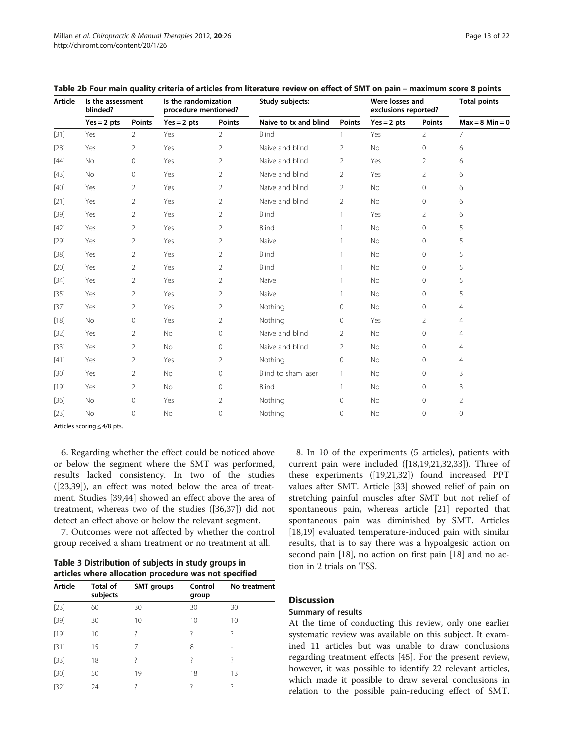| Article | blinded?      | Is the randomization<br>Is the assessment<br>procedure mentioned? |               |                | Study subjects:       |                | Were losses and<br>exclusions reported? |                | <b>Total points</b> |  |
|---------|---------------|-------------------------------------------------------------------|---------------|----------------|-----------------------|----------------|-----------------------------------------|----------------|---------------------|--|
|         | $Yes = 2 pts$ | <b>Points</b>                                                     | $Yes = 2 pts$ | <b>Points</b>  | Naive to tx and blind | <b>Points</b>  | $Yes = 2 pts$                           | <b>Points</b>  | $Max = 8$ Min = 0   |  |
| $[31]$  | Yes           | $\overline{2}$                                                    | Yes           | $\overline{2}$ | Blind                 |                | Yes                                     | $\overline{2}$ | $\overline{7}$      |  |
| $[28]$  | Yes           | 2                                                                 | Yes           | $\overline{2}$ | Naive and blind       | $\overline{2}$ | No                                      | $\Omega$       | 6                   |  |
| $[44]$  | No            | 0                                                                 | Yes           | $\overline{2}$ | Naive and blind       | $\overline{2}$ | Yes                                     | 2              | 6                   |  |
| $[43]$  | No            | $\mathsf{O}\xspace$                                               | Yes           | $\overline{2}$ | Naive and blind       | $\overline{2}$ | Yes                                     | 2              | 6                   |  |
| $[40]$  | Yes           | 2                                                                 | Yes           | 2              | Naive and blind       | 2              | No                                      | $\Omega$       | 6                   |  |
| $[21]$  | Yes           | $\overline{2}$                                                    | Yes           | $\overline{2}$ | Naive and blind       | $\overline{2}$ | No                                      | $\Omega$       | 6                   |  |
| $[39]$  | Yes           | $\overline{2}$                                                    | Yes           | $\overline{2}$ | Blind                 | $\mathbf{1}$   | Yes                                     | 2              | 6                   |  |
| $[42]$  | Yes           | 2                                                                 | Yes           | $\overline{2}$ | Blind                 | $\mathbf{1}$   | No                                      | $\Omega$       | 5                   |  |
| $[29]$  | Yes           | 2                                                                 | Yes           | 2              | Naive                 |                | No                                      | $\Omega$       | 5                   |  |
| $[38]$  | Yes           | 2                                                                 | Yes           | $\overline{2}$ | Blind                 | $\mathbf{1}$   | No                                      | $\Omega$       | 5                   |  |
| $[20]$  | Yes           | $\overline{2}$                                                    | Yes           | $\overline{2}$ | Blind                 | 1              | <b>No</b>                               | 0              | 5                   |  |
| $[34]$  | Yes           | $\overline{2}$                                                    | Yes           | $\overline{2}$ | Naive                 | 1              | No                                      | $\Omega$       | 5                   |  |
| $[35]$  | Yes           | $\overline{2}$                                                    | Yes           | $\overline{2}$ | Naive                 | $\mathbf{1}$   | No                                      | $\Omega$       | 5                   |  |
| $[37]$  | Yes           | 2                                                                 | Yes           | $\overline{2}$ | Nothing               | $\Omega$       | No                                      | $\Omega$       | 4                   |  |
| $[18]$  | <b>No</b>     | 0                                                                 | Yes           | $\overline{2}$ | Nothing               | 0              | Yes                                     | 2              | 4                   |  |
| $[32]$  | Yes           | 2                                                                 | No            | $\mathbf{0}$   | Naive and blind       | $\overline{2}$ | No                                      | $\Omega$       | 4                   |  |
| $[33]$  | Yes           | $\overline{2}$                                                    | No            | $\mathbf{0}$   | Naive and blind       | $\overline{2}$ | No                                      | $\Omega$       | 4                   |  |
| $[41]$  | Yes           | 2                                                                 | Yes           | 2              | Nothing               | 0              | No                                      | $\Omega$       | $\overline{4}$      |  |
| $[30]$  | Yes           | 2                                                                 | No            | $\mathbf{0}$   | Blind to sham laser   | $\mathbf{1}$   | No                                      | $\Omega$       | 3                   |  |
| [19]    | Yes           | $\overline{2}$                                                    | No            | $\mathbf{0}$   | Blind                 | $\mathbf{1}$   | No                                      | $\Omega$       | 3                   |  |
| $[36]$  | No            | 0                                                                 | Yes           | $\overline{2}$ | Nothing               | 0              | No                                      | 0              | 2                   |  |
| $[23]$  | No            | 0                                                                 | No            | $\mathbf 0$    | Nothing               | 0              | No                                      | 0              | $\mathbf 0$         |  |

<span id="page-12-0"></span>

|  | Table 2b Four main quality criteria of articles from literature review on effect of SMT on pain – maximum score 8 points |  |
|--|--------------------------------------------------------------------------------------------------------------------------|--|
|--|--------------------------------------------------------------------------------------------------------------------------|--|

Articles scoring ≤ 4/8 pts.

6. Regarding whether the effect could be noticed above or below the segment where the SMT was performed, results lacked consistency. In two of the studies ([\[23,](#page-20-0)[39\]](#page-21-0)), an effect was noted below the area of treatment. Studies [\[39,44\]](#page-21-0) showed an effect above the area of treatment, whereas two of the studies ([\[36,37](#page-21-0)]) did not detect an effect above or below the relevant segment.

7. Outcomes were not affected by whether the control group received a sham treatment or no treatment at all.

Table 3 Distribution of subjects in study groups in articles where allocation procedure was not specified

| Article | <b>Total of</b><br>subjects | <b>SMT</b> groups | Control<br>group | No treatment |
|---------|-----------------------------|-------------------|------------------|--------------|
| $[23]$  | 60                          | 30                | 30               | 30           |
| $[39]$  | 30                          | 10                | 10               | 10           |
| $[19]$  | 10                          | ?                 | ?                | ?            |
| $[31]$  | 15                          | 7                 | 8                |              |
| $[33]$  | 18                          | 7                 | ?                | ?            |
| $[30]$  | 50                          | 19                | 18               | 13           |
| $[32]$  | 24                          | ?                 | ?                | ?            |

8. In 10 of the experiments (5 articles), patients with current pain were included ([\[18,19,21](#page-20-0)[,32,33\]](#page-21-0)). Three of these experiments ([[19,21,](#page-20-0)[32](#page-21-0)]) found increased PPT values after SMT. Article [\[33\]](#page-21-0) showed relief of pain on stretching painful muscles after SMT but not relief of spontaneous pain, whereas article [\[21\]](#page-20-0) reported that spontaneous pain was diminished by SMT. Articles [[18,19\]](#page-20-0) evaluated temperature-induced pain with similar results, that is to say there was a hypoalgesic action on second pain [\[18](#page-20-0)], no action on first pain [[18\]](#page-20-0) and no action in 2 trials on TSS.

#### **Discussion**

#### Summary of results

At the time of conducting this review, only one earlier systematic review was available on this subject. It examined 11 articles but was unable to draw conclusions regarding treatment effects [[45](#page-21-0)]. For the present review, however, it was possible to identify 22 relevant articles, which made it possible to draw several conclusions in relation to the possible pain-reducing effect of SMT.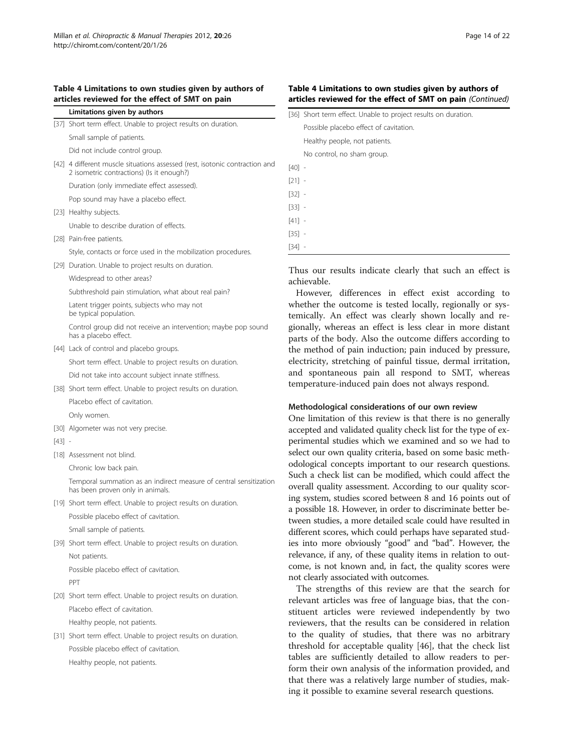#### <span id="page-13-0"></span>Table 4 Limitations to own studies given by authors of articles reviewed for the effect of SMT on pain

|          | and incress the mean of the effect of shift on pain                                                                      | $\frac{1}{2}$ . The mean of the effect of JMT on pair (Commed)                                                          |
|----------|--------------------------------------------------------------------------------------------------------------------------|-------------------------------------------------------------------------------------------------------------------------|
|          | Limitations given by authors                                                                                             | [36] Short term effect. Unable to project results on duration.                                                          |
|          | [37] Short term effect. Unable to project results on duration.                                                           | Possible placebo effect of cavitation.                                                                                  |
|          | Small sample of patients.                                                                                                | Healthy people, not patients.                                                                                           |
|          | Did not include control group.                                                                                           | No control, no sham group.                                                                                              |
|          | [42] 4 different muscle situations assessed (rest, isotonic contraction and<br>2 isometric contractions) (Is it enough?) | $[40] -$                                                                                                                |
|          | Duration (only immediate effect assessed).                                                                               | $[21] -$                                                                                                                |
|          | Pop sound may have a placebo effect.                                                                                     | $[32] -$                                                                                                                |
|          | [23] Healthy subjects.                                                                                                   | $[33] -$                                                                                                                |
|          | Unable to describe duration of effects.                                                                                  | $[41] -$                                                                                                                |
|          | [28] Pain-free patients.                                                                                                 | $[35] -$                                                                                                                |
|          | Style, contacts or force used in the mobilization procedures.                                                            | $[34] -$                                                                                                                |
|          | [29] Duration. Unable to project results on duration.                                                                    | Thus our results indicate clearly that such an effect is                                                                |
|          | Widespread to other areas?                                                                                               | achievable.                                                                                                             |
|          | Subthreshold pain stimulation, what about real pain?                                                                     | However, differences in effect exist according to                                                                       |
|          | Latent trigger points, subjects who may not<br>be typical population.                                                    | whether the outcome is tested locally, regionally or sys-<br>temically. An effect was clearly shown locally and re-     |
|          | Control group did not receive an intervention; maybe pop sound<br>has a placebo effect.                                  | gionally, whereas an effect is less clear in more distant<br>parts of the body. Also the outcome differs according to   |
|          | [44] Lack of control and placebo groups.                                                                                 | the method of pain induction; pain induced by pressure,                                                                 |
|          | Short term effect. Unable to project results on duration.                                                                | electricity, stretching of painful tissue, dermal irritation,                                                           |
|          | Did not take into account subject innate stiffness.                                                                      | and spontaneous pain all respond to SMT, whereas                                                                        |
|          | [38] Short term effect. Unable to project results on duration.                                                           | temperature-induced pain does not always respond.                                                                       |
|          | Placebo effect of cavitation.                                                                                            |                                                                                                                         |
|          | Only women.                                                                                                              | Methodological considerations of our own review<br>One limitation of this review is that there is no generally          |
|          | [30] Algometer was not very precise.                                                                                     | accepted and validated quality check list for the type of ex-                                                           |
| $[43] -$ |                                                                                                                          | perimental studies which we examined and so we had to                                                                   |
|          | [18] Assessment not blind.                                                                                               | select our own quality criteria, based on some basic meth-                                                              |
|          | Chronic low back pain.                                                                                                   | odological concepts important to our research questions.                                                                |
|          | Temporal summation as an indirect measure of central sensitization<br>has been proven only in animals.                   | Such a check list can be modified, which could affect the<br>overall quality assessment. According to our quality scor- |
|          | [19] Short term effect. Unable to project results on duration.                                                           | ing system, studies scored between 8 and 16 points out of<br>$-11$ $-10$ $+7$ $-1$ $-1$ $-1$ $-1$ $-1$ $-1$             |

Possible placebo effect of cavitation.

Small sample of patients.

[[39](#page-21-0)] Short term effect. Unable to project results on duration. Not patients.

Possible placebo effect of cavitation. PPT

- [[20](#page-20-0)] Short term effect. Unable to project results on duration. Placebo effect of cavitation. Healthy people, not patients.
- [[31](#page-21-0)] Short term effect. Unable to project results on duration. Possible placebo effect of cavitation. Healthy people, not patients.

# Table 4 Limitations to own studies given by authors of articles reviewed for the effect of SMT on pain (Continued)

a possible 18. However, in order to discriminate better between studies, a more detailed scale could have resulted in different scores, which could perhaps have separated studies into more obviously "good" and "bad". However, the relevance, if any, of these quality items in relation to outcome, is not known and, in fact, the quality scores were not clearly associated with outcomes.

The strengths of this review are that the search for relevant articles was free of language bias, that the constituent articles were reviewed independently by two reviewers, that the results can be considered in relation to the quality of studies, that there was no arbitrary threshold for acceptable quality [[46](#page-21-0)], that the check list tables are sufficiently detailed to allow readers to perform their own analysis of the information provided, and that there was a relatively large number of studies, making it possible to examine several research questions.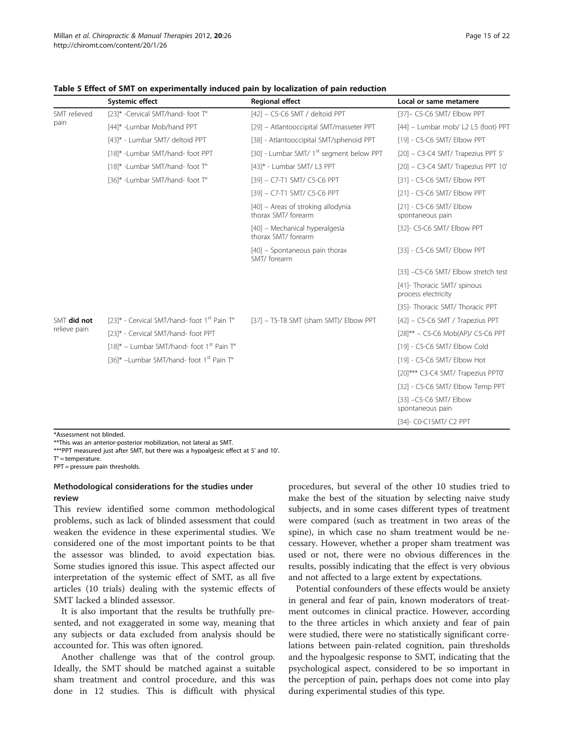|              | <b>Systemic effect</b>                                  | <b>Regional effect</b>                                    | Local or same metamere                             |
|--------------|---------------------------------------------------------|-----------------------------------------------------------|----------------------------------------------------|
| SMT relieved | [23]* -Cervical SMT/hand- foot T°                       | [42] - C5-C6 SMT / deltoid PPT                            | [37]- C5-C6 SMT/ Elbow PPT                         |
| pain         | [44]* -Lumbar Mob/hand PPT                              | [29] - Atlantooccipital SMT/masseter PPT                  | [44] - Lumbar mob/ L2 L5 (foot) PPT                |
|              | [43]* - Lumbar SMT/ deltoid PPT                         | [38] - Atlantooccipital SMT/sphenoid PPT                  | [19] - C5-C6 SMT/ Elbow PPT                        |
|              | [18]* -Lumbar SMT/hand- foot PPT                        | [30] - Lumbar SMT/ 1 <sup>st</sup> segment below PPT      | [20] - C3-C4 SMT/ Trapezius PPT 5'                 |
|              | [18]* -Lumbar SMT/hand- foot T°                         | [43]* - Lumbar SMT/ L3 PPT                                | $[20]$ – C3-C4 SMT/ Trapezius PPT 10'              |
|              | [36]* -Lumbar SMT/hand- foot T°                         | [39] - C7-T1 SMT/ C5-C6 PPT                               | [31] - C5-C6 SMT/ Elbow PPT                        |
|              |                                                         | [39] - C7-T1 SMT/ C5-C6 PPT                               | [21] - C5-C6 SMT/ Elbow PPT                        |
|              |                                                         | [40] – Areas of stroking allodynia<br>thorax SMT/ forearm | [21] - C5-C6 SMT/ Elbow<br>spontaneous pain        |
|              |                                                         | [40] - Mechanical hyperalgesia<br>thorax SMT/ forearm     | [32]- C5-C6 SMT/ Elbow PPT                         |
|              |                                                         | [40] - Spontaneous pain thorax<br>SMT/forearm             | [33] - C5-C6 SMT/ Elbow PPT                        |
|              |                                                         |                                                           | [33] -C5-C6 SMT/ Elbow stretch test                |
|              |                                                         |                                                           | [41]- Thoracic SMT/ spinous<br>process electricity |
|              |                                                         |                                                           | [35]- Thoracic SMT/ Thoracic PPT                   |
| SMT did not  | [23]* - Cervical SMT/hand- foot 1 <sup>st</sup> Pain T° | [37] - T5-T8 SMT (sham SMT)/ Elbow PPT                    | [42] - C5-C6 SMT / Trapezius PPT                   |
| relieve pain | [23]* - Cervical SMT/hand- foot PPT                     |                                                           | $[28]^{**}$ – C5-C6 Mob(AP)/ C5-C6 PPT             |
|              | [18]* - Lumbar SMT/hand- foot 1st Pain T°               |                                                           | [19] - C5-C6 SMT/ Elbow Cold                       |
|              | [36]* -Lumbar SMT/hand- foot 1 <sup>st</sup> Pain T°    |                                                           | [19] - C5-C6 SMT/ Elbow Hot                        |
|              |                                                         |                                                           | [20]*** C3-C4 SMT/ Trapezius PPT0'                 |
|              |                                                         |                                                           | [32] - C5-C6 SMT/ Elbow Temp PPT                   |
|              |                                                         |                                                           | [33] -C5-C6 SMT/ Elbow<br>spontaneous pain         |
|              |                                                         |                                                           | [34]- CO-C1SMT/ C2 PPT                             |

<span id="page-14-0"></span>Table 5 Effect of SMT on experimentally induced pain by localization of pain reduction

\*Assessment not blinded.

\*\*This was an anterior-posterior mobilization, not lateral as SMT.

\*\*\*PPT measured just after SMT, but there was a hypoalgesic effect at 5' and 10'.

T° = temperature.

PPT = pressure pain thresholds.

### Methodological considerations for the studies under review

This review identified some common methodological problems, such as lack of blinded assessment that could weaken the evidence in these experimental studies. We considered one of the most important points to be that the assessor was blinded, to avoid expectation bias. Some studies ignored this issue. This aspect affected our interpretation of the systemic effect of SMT, as all five articles (10 trials) dealing with the systemic effects of SMT lacked a blinded assessor.

It is also important that the results be truthfully presented, and not exaggerated in some way, meaning that any subjects or data excluded from analysis should be accounted for. This was often ignored.

Another challenge was that of the control group. Ideally, the SMT should be matched against a suitable sham treatment and control procedure, and this was done in 12 studies. This is difficult with physical procedures, but several of the other 10 studies tried to make the best of the situation by selecting naive study subjects, and in some cases different types of treatment were compared (such as treatment in two areas of the spine), in which case no sham treatment would be necessary. However, whether a proper sham treatment was used or not, there were no obvious differences in the results, possibly indicating that the effect is very obvious and not affected to a large extent by expectations.

Potential confounders of these effects would be anxiety in general and fear of pain, known moderators of treatment outcomes in clinical practice. However, according to the three articles in which anxiety and fear of pain were studied, there were no statistically significant correlations between pain-related cognition, pain thresholds and the hypoalgesic response to SMT, indicating that the psychological aspect, considered to be so important in the perception of pain, perhaps does not come into play during experimental studies of this type.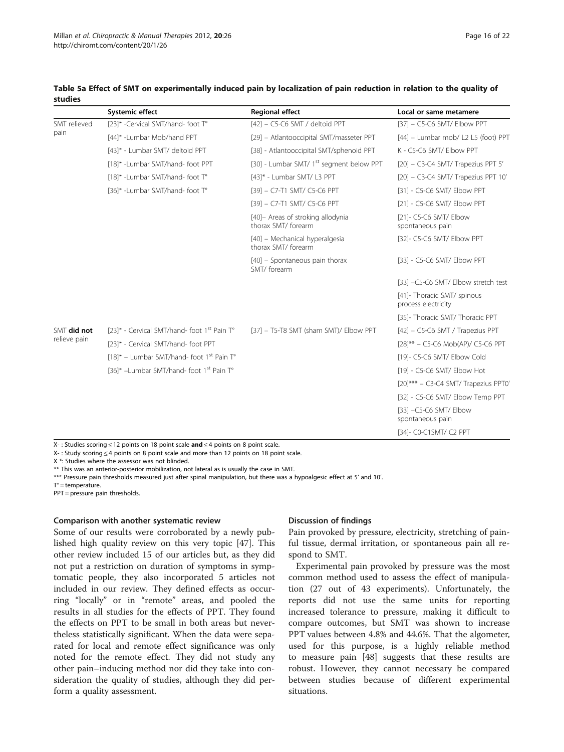| Table 5a Effect of SMT on experimentally induced pain by localization of pain reduction in relation to the quality of |  |
|-----------------------------------------------------------------------------------------------------------------------|--|
| studies                                                                                                               |  |

|              | <b>Systemic effect</b>                                  | <b>Regional effect</b>                                   | Local or same metamere                             |
|--------------|---------------------------------------------------------|----------------------------------------------------------|----------------------------------------------------|
| SMT relieved | [23]* -Cervical SMT/hand- foot T°                       | [42] - C5-C6 SMT / deltoid PPT                           | [37] - C5-C6 SMT/ Elbow PPT                        |
| pain         | [44]* -Lumbar Mob/hand PPT                              | [29] - Atlantooccipital SMT/masseter PPT                 | $[44]$ – Lumbar mob/ L2 L5 (foot) PPT              |
|              | [43]* - Lumbar SMT/ deltoid PPT                         | [38] - Atlantooccipital SMT/sphenoid PPT                 | K - C5-C6 SMT/ Elbow PPT                           |
|              | [18]* -Lumbar SMT/hand- foot PPT                        | [30] - Lumbar SMT/ 1 <sup>st</sup> segment below PPT     | [20] - C3-C4 SMT/ Trapezius PPT 5'                 |
|              | [18]* -Lumbar SMT/hand- foot T°                         | [43]* - Lumbar SMT/ L3 PPT                               | [20] - C3-C4 SMT/ Trapezius PPT 10'                |
|              | [36]* -Lumbar SMT/hand- foot T°                         | [39] - C7-T1 SMT/ C5-C6 PPT                              | [31] - C5-C6 SMT/ Elbow PPT                        |
|              |                                                         | [39] - C7-T1 SMT/ C5-C6 PPT                              | [21] - C5-C6 SMT/ Elbow PPT                        |
|              |                                                         | [40]- Areas of stroking allodynia<br>thorax SMT/ forearm | [21]- C5-C6 SMT/ Elbow<br>spontaneous pain         |
|              |                                                         | [40] - Mechanical hyperalgesia<br>thorax SMT/ forearm    | [32]- C5-C6 SMT/ Elbow PPT                         |
|              |                                                         | $[40]$ – Spontaneous pain thorax<br>SMT/ forearm         | [33] - C5-C6 SMT/ Elbow PPT                        |
|              |                                                         |                                                          | [33] -C5-C6 SMT/ Elbow stretch test                |
|              |                                                         |                                                          | [41]- Thoracic SMT/ spinous<br>process electricity |
|              |                                                         |                                                          | [35]- Thoracic SMT/ Thoracic PPT                   |
| SMT did not  | [23]* - Cervical SMT/hand- foot 1 <sup>st</sup> Pain T° | [37] - T5-T8 SMT (sham SMT)/ Elbow PPT                   | [42] - C5-C6 SMT / Trapezius PPT                   |
| relieve pain | [23]* - Cervical SMT/hand- foot PPT                     |                                                          | $[28]^{**}$ – C5-C6 Mob(AP)/ C5-C6 PPT             |
|              | [18]* - Lumbar SMT/hand- foot 1 <sup>st</sup> Pain T°   |                                                          | [19]- C5-C6 SMT/ Elbow Cold                        |
|              | [36]* -Lumbar SMT/hand- foot 1 <sup>st</sup> Pain T°    |                                                          | [19] - C5-C6 SMT/ Elbow Hot                        |
|              |                                                         |                                                          | $[20]$ *** – C3-C4 SMT/ Trapezius PPT0'            |
|              |                                                         |                                                          | [32] - C5-C6 SMT/ Elbow Temp PPT                   |
|              |                                                         |                                                          | [33] -C5-C6 SMT/ Elbow<br>spontaneous pain         |
|              |                                                         |                                                          | [34]- CO-C1SMT/ C2 PPT                             |

X-: Studies scoring ≤ 12 points on 18 point scale and ≤ 4 points on 8 point scale.

X- : Study scoring ≤ 4 points on 8 point scale and more than 12 points on 18 point scale.

X \*: Studies where the assessor was not blinded.

\*\* This was an anterior-posterior mobilization, not lateral as is usually the case in SMT.

\*\*\* Pressure pain thresholds measured just after spinal manipulation, but there was a hypoalgesic effect at 5' and 10'.

 $T<sup>o</sup> =$  temperature.

PPT = pressure pain thresholds.

#### Comparison with another systematic review

Some of our results were corroborated by a newly published high quality review on this very topic [[47\]](#page-21-0). This other review included 15 of our articles but, as they did not put a restriction on duration of symptoms in symptomatic people, they also incorporated 5 articles not included in our review. They defined effects as occurring "locally" or in "remote" areas, and pooled the results in all studies for the effects of PPT. They found the effects on PPT to be small in both areas but nevertheless statistically significant. When the data were separated for local and remote effect significance was only noted for the remote effect. They did not study any other pain–inducing method nor did they take into consideration the quality of studies, although they did perform a quality assessment.

#### Discussion of findings

Pain provoked by pressure, electricity, stretching of painful tissue, dermal irritation, or spontaneous pain all respond to SMT.

Experimental pain provoked by pressure was the most common method used to assess the effect of manipulation (27 out of 43 experiments). Unfortunately, the reports did not use the same units for reporting increased tolerance to pressure, making it difficult to compare outcomes, but SMT was shown to increase PPT values between 4.8% and 44.6%. That the algometer, used for this purpose, is a highly reliable method to measure pain [[48\]](#page-21-0) suggests that these results are robust. However, they cannot necessary be compared between studies because of different experimental situations.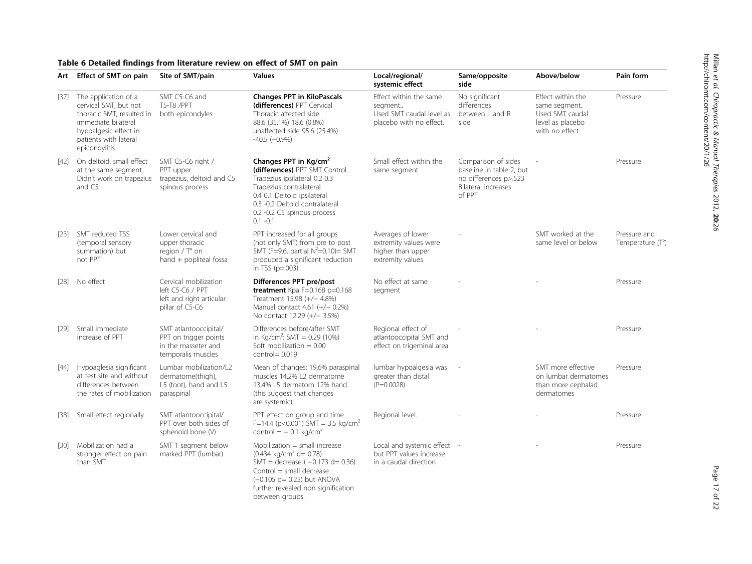# <span id="page-16-0"></span>Table 6 Detailed findings from literature review on effect of SMT on pain

| Art    | Effect of SMT on pain                                                                                                                                                 | Site of SMT/pain                                                                            | <b>Values</b>                                                                                                                                                                                                                                 | Local/regional/<br>systemic effect                                                       | Same/opposite<br>side                                                                                            | Above/below                                                                                  | Pain form                        |
|--------|-----------------------------------------------------------------------------------------------------------------------------------------------------------------------|---------------------------------------------------------------------------------------------|-----------------------------------------------------------------------------------------------------------------------------------------------------------------------------------------------------------------------------------------------|------------------------------------------------------------------------------------------|------------------------------------------------------------------------------------------------------------------|----------------------------------------------------------------------------------------------|----------------------------------|
| [37]   | The application of a<br>cervical SMT, but not<br>thoracic SMT, resulted in<br>immediate bilateral<br>hypoalgesic effect in<br>patients with lateral<br>epicondylitis. | SMT C5-C6 and<br><b>T5-T8 /PPT</b><br>both epicondyles                                      | <b>Changes PPT in KiloPascals</b><br>(differences) PPT Cervical<br>Thoracic affected side<br>88.6 (35.1%) 18.6 (0.8%)<br>unaffected side 95.6 (25.4%)<br>$-40.5$ $(-0.9\%)$                                                                   | Effect within the same<br>segment<br>Used SMT caudal level as<br>placebo with no effect. | No significant<br>differences<br>between L and R<br>side                                                         | Effect within the<br>same segment.<br>Used SMT caudal<br>level as placebo<br>with no effect. | Pressure                         |
| $[42]$ | On deltoid, small effect<br>at the same segment.<br>Didn't work on trapezius<br>and C5                                                                                | SMT C5-C6 right /<br>PPT upper<br>trapezius, deltoid and C5<br>spinous process              | Changes PPT in Kg/cm <sup>2</sup><br>(differences) PPT SMT Control<br>Trapezius ipsilateral 0.2 0.3<br>Trapezius contralateral<br>0.4 0.1 Deltoid ipsilateral<br>0.3 -0.2 Deltoid contralateral<br>0.2 -0.2 C5 spinous process<br>$0.1 - 0.1$ | Small effect within the<br>same segment                                                  | Comparison of sides<br>baseline in table 2, but<br>no differences p>.523<br><b>Bilateral increases</b><br>of PPT |                                                                                              | Pressure                         |
| [23]   | SMT reduced TSS<br>(temporal sensory<br>summation) but<br>not PPT                                                                                                     | Lower cervical and<br>upper thoracic<br>region / T° on<br>hand + popliteal fossa            | PPT increased for all groups<br>(not only SMT) from pre to post<br>SMT (F=9.6, partial $N^2=0.10$ ) = SMT<br>produced a significant reduction<br>in TSS $(p=.003)$                                                                            | Averages of lower<br>extremity values were<br>higher than upper<br>extremity values      |                                                                                                                  | SMT worked at the<br>same level or below                                                     | Pressure and<br>Temperature (T°) |
| [28]   | No effect                                                                                                                                                             | Cervical mobilization<br>left C5-C6 / PPT<br>left and right articular<br>pillar of C5-C6    | Differences PPT pre/post<br>treatment Kpa F=0.168 p=0.168<br>Treatment 15.98 (+/- 4.8%)<br>Manual contact 4.61 (+/- 0.2%)<br>No contact 12.29 (+/- 3.5%)                                                                                      | No effect at same<br>segment                                                             |                                                                                                                  |                                                                                              | Pressure                         |
| [29]   | Small immediate<br>increase of PPT                                                                                                                                    | SMT atlantooccipital/<br>PPT on trigger points<br>in the masseter and<br>temporalis muscles | Differences before/after SMT<br>in Kg/cm <sup>2</sup> : SMT = 0.29 (10%)<br>Soft mobilization = $0.00$<br>control= $0.019$                                                                                                                    | Regional effect of<br>atlantooccipital SMT and<br>effect on trigeminal area              |                                                                                                                  |                                                                                              | Pressure                         |
| [44]   | Hypoaglesia significant<br>at test site and without<br>differences between<br>the rates of mobilization                                                               | Lumbar mobilization/L2<br>dermatome(thigh),<br>L5 (foot), hand and L5<br>paraspinal         | Mean of changes: 19,6% paraspinal<br>muscles 14,2% L2 dermatome<br>13,4% L5 dermatom 12% hand<br>(this suggest that changes<br>are systemic)                                                                                                  | lumbar hypoalgesia was<br>greater than distal<br>$(P=0.0028)$                            | $\overline{\phantom{a}}$                                                                                         | SMT more effective<br>on lumbar dermatomes<br>than more cephalad<br>dermatomes               | Pressure                         |
| [38]   | Small effect regionally                                                                                                                                               | SMT atlantooccipital/<br>PPT over both sides of<br>sphenoid bone (V)                        | PPT effect on group and time<br>$F=14.4$ (p<0.001) SMT = 3.5 kg/cm <sup>2</sup><br>control = $-0.1$ kg/cm <sup>2</sup>                                                                                                                        | Regional level.                                                                          |                                                                                                                  |                                                                                              | Pressure                         |
| [30]   | Mobilization had a<br>stronger effect on pain<br>than SMT                                                                                                             | SMT 1 segment below<br>marked PPT (lumbar)                                                  | $M$ obilization = small increase<br>$(0.434 \text{ kg/cm}^2 \text{ d} = 0.78)$<br>SMT = decrease $(-0.173$ d= 0.36)<br>$Control = small decrease$<br>$(-0.105 d = 0.25)$ but ANOVA<br>further revealed non signification<br>between groups.   | Local and systemic effect -<br>but PPT values increase<br>in a caudal direction          |                                                                                                                  |                                                                                              | Pressure                         |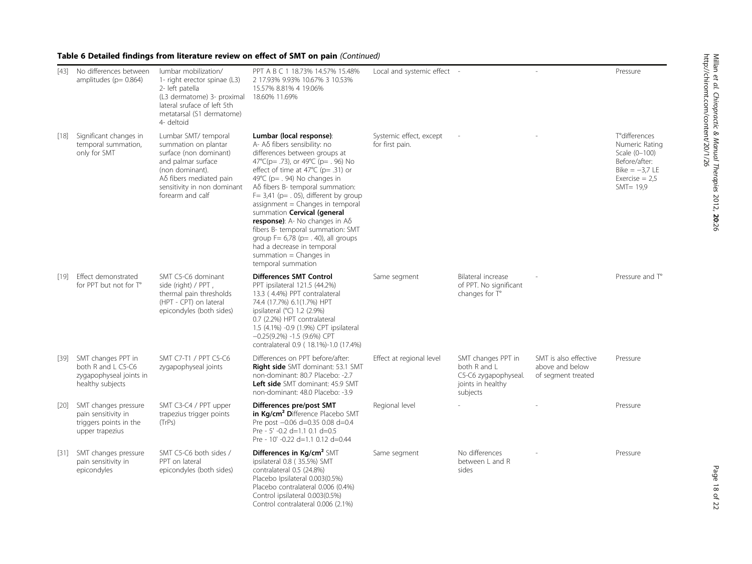# Table 6 Detailed findings from literature review on effect of SMT on pain (Continued)

| $[43]$ | No differences between<br>amplitudes ( $p = 0.864$ )                                     | lumbar mobilization/<br>1- right erector spinae (L3)<br>2- left patella<br>(L3 dermatome) 3- proximal<br>lateral sruface of left 5th<br>metatarsal (S1 dermatome)<br>4- deltoid               | PPT A B C 1 18.73% 14.57% 15.48%<br>2 17.93% 9.93% 10.67% 3 10.53%<br>15.57% 8.81% 4 19.06%<br>18.60% 11.69%                                                                                                                                                                                                                                                                                                                                                                                                                                                        | Local and systemic effect -                |                                                                                             | L.                                                             | Pressure                                                                                                                  |
|--------|------------------------------------------------------------------------------------------|-----------------------------------------------------------------------------------------------------------------------------------------------------------------------------------------------|---------------------------------------------------------------------------------------------------------------------------------------------------------------------------------------------------------------------------------------------------------------------------------------------------------------------------------------------------------------------------------------------------------------------------------------------------------------------------------------------------------------------------------------------------------------------|--------------------------------------------|---------------------------------------------------------------------------------------------|----------------------------------------------------------------|---------------------------------------------------------------------------------------------------------------------------|
| $[18]$ | Significant changes in<br>temporal summation,<br>only for SMT                            | Lumbar SMT/ temporal<br>summation on plantar<br>surface (non dominant)<br>and palmar surface<br>(non dominant).<br>Aδ fibers mediated pain<br>sensitivity in non dominant<br>forearm and calf | Lumbar (local response):<br>A- Aδ fibers sensibility: no<br>differences between groups at<br>47°C(p= .73), or 49°C (p= . 96) No<br>effect of time at $47^{\circ}$ C (p= .31) or<br>49°C (p= . 94) No changes in<br>Aδ fibers B- temporal summation:<br>$F = 3,41$ (p= . 05), different by group<br>assignment = Changes in temporal<br>summation Cervical (general<br>response): A- No changes in Αδ<br>fibers B- temporal summation: SMT<br>group $F = 6,78$ (p= . 40), all groups<br>had a decrease in temporal<br>summation $=$ Changes in<br>temporal summation | Systemic effect, except<br>for first pain. |                                                                                             |                                                                | T°differences<br>Numeric Rating<br>Scale (0-100)<br>Before/after:<br>Bike $= -3.7$ LE<br>Exercise $= 2.5$<br>$SMT = 19.9$ |
| [19]   | Effect demonstrated<br>for PPT but not for T°                                            | SMT C5-C6 dominant<br>side (right) / PPT,<br>thermal pain thresholds<br>(HPT - CPT) on lateral<br>epicondyles (both sides)                                                                    | <b>Differences SMT Control</b><br>PPT ipsilateral 121.5 (44.2%)<br>13.3 (4.4%) PPT contralateral<br>74.4 (17.7%) 6.1(1.7%) HPT<br>ipsilateral (°C) 1.2 (2.9%)<br>0.7 (2.2%) HPT contralateral<br>1.5 (4.1%) -0.9 (1.9%) CPT ipsilateral<br>$-0.25(9.2\%) -1.5$ (9.6%) CPT<br>contralateral 0.9 (18.1%)-1.0 (17.4%)                                                                                                                                                                                                                                                  | Same segment                               | Bilateral increase<br>of PPT. No significant<br>changes for T°                              |                                                                | Pressure and T°                                                                                                           |
| [39]   | SMT changes PPT in<br>both R and L C5-C6<br>zygapophyseal joints in<br>healthy subjects  | SMT C7-T1 / PPT C5-C6<br>zygapophyseal joints                                                                                                                                                 | Differences on PPT before/after:<br>Right side SMT dominant: 53.1 SMT<br>non-dominant: 80.7 Placebo: -2.7<br>Left side SMT dominant: 45.9 SMT<br>non-dominant: 48.0 Placebo: -3.9                                                                                                                                                                                                                                                                                                                                                                                   | Effect at regional level                   | SMT changes PPT in<br>both R and L<br>C5-C6 zygapophyseal.<br>joints in healthy<br>subjects | SMT is also effective<br>above and below<br>of segment treated | Pressure                                                                                                                  |
| [20]   | SMT changes pressure<br>pain sensitivity in<br>triggers points in the<br>upper trapezius | SMT C3-C4 / PPT upper<br>trapezius trigger points<br>(TrPs)                                                                                                                                   | Differences pre/post SMT<br>in Kg/cm <sup>2</sup> Difference Placebo SMT<br>Pre post -0.06 d=0.35 0.08 d=0.4<br>Pre - 5' -0.2 d=1.1 0.1 d=0.5<br>Pre - 10' -0.22 d=1.1 0.12 d=0.44                                                                                                                                                                                                                                                                                                                                                                                  | Regional level                             |                                                                                             |                                                                | Pressure                                                                                                                  |
| [31]   | SMT changes pressure<br>pain sensitivity in<br>epicondyles                               | SMT C5-C6 both sides /<br>PPT on lateral<br>epicondyles (both sides)                                                                                                                          | Differences in Kg/cm <sup>2</sup> SMT<br>ipsilateral 0.8 (35.5%) SMT<br>contralateral 0.5 (24.8%)<br>Placebo Ipsilateral 0.003(0.5%)<br>Placebo contralateral 0.006 (0.4%)<br>Control ipsilateral 0.003(0.5%)<br>Control contralateral 0.006 (2.1%)                                                                                                                                                                                                                                                                                                                 | Same segment                               | No differences<br>between L and R<br>sides                                                  |                                                                | Pressure                                                                                                                  |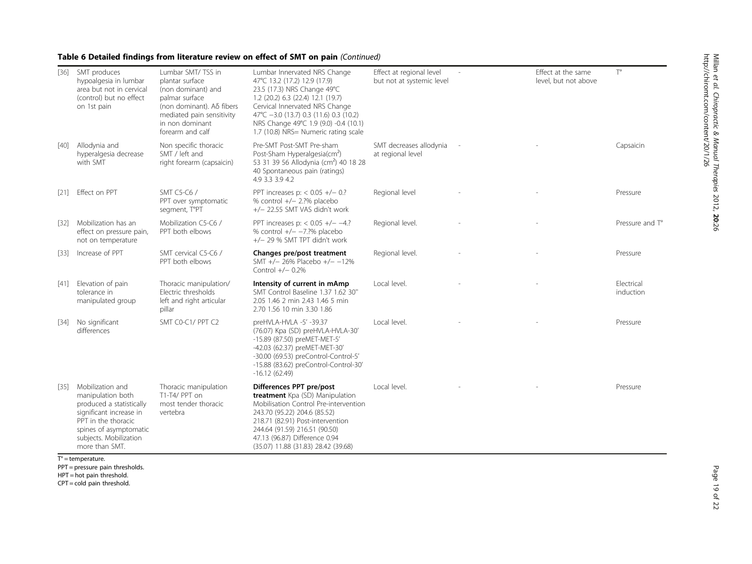# Table 6 Detailed findings from literature review on effect of SMT on pain (Continued)

| [36]   | SMT produces<br>hypoalgesia in lumbar<br>area but not in cervical<br>(control) but no effect<br>on 1st pain                                                                               | Lumbar SMT/ TSS in<br>plantar surface<br>(non dominant) and<br>palmar surface<br>(non dominant). Aδ fibers<br>mediated pain sensitivity<br>in non dominant<br>forearm and calf | Lumbar Innervated NRS Change<br>47°C 13.2 (17.2) 12.9 (17.9)<br>23.5 (17.3) NRS Change 49°C<br>1.2 (20.2) 6.3 (22.4) 12.1 (19.7)<br>Cervical Innervated NRS Change<br>47°C -3.0 (13.7) 0.3 (11.6) 0.3 (10.2)<br>NRS Change 49°C 1.9 (9.0) -0.4 (10.1)<br>1.7 (10.8) NRS= Numeric rating scale | Effect at regional level<br>but not at systemic level | Effect at the same<br>level, but not above | $T^{\circ}$             |
|--------|-------------------------------------------------------------------------------------------------------------------------------------------------------------------------------------------|--------------------------------------------------------------------------------------------------------------------------------------------------------------------------------|-----------------------------------------------------------------------------------------------------------------------------------------------------------------------------------------------------------------------------------------------------------------------------------------------|-------------------------------------------------------|--------------------------------------------|-------------------------|
| $[40]$ | Allodynia and<br>hyperalgesia decrease<br>with SMT                                                                                                                                        | Non specific thoracic<br>SMT / left and<br>right forearm (capsaicin)                                                                                                           | Pre-SMT Post-SMT Pre-sham<br>Post-Sham Hyperalgesia(cm <sup>2</sup> )<br>53 31 39 56 Allodynia (cm <sup>2</sup> ) 40 18 28<br>40 Spontaneous pain (ratings)<br>4.9 3.3 3.9 4.2                                                                                                                | SMT decreases allodynia<br>at regional level          |                                            | Capsaicin               |
| [21]   | Effect on PPT                                                                                                                                                                             | SMT C5-C6 /<br>PPT over symptomatic<br>segment, T°PT                                                                                                                           | PPT increases $p: < 0.05 +/- 0.2$<br>% control $+/-$ 2.?% placebo<br>+/- 22.55 SMT VAS didn't work                                                                                                                                                                                            | Regional level                                        |                                            | Pressure                |
| $[32]$ | Mobilization has an<br>effect on pressure pain,<br>not on temperature                                                                                                                     | Mobilization C5-C6 /<br>PPT both elbows                                                                                                                                        | PPT increases p: $< 0.05 +/- -4.2$<br>% control $+/- -7.$ ?% placebo<br>+/- 29 % SMT TPT didn't work                                                                                                                                                                                          | Regional level.                                       |                                            | Pressure and T°         |
| [33]   | Increase of PPT                                                                                                                                                                           | SMT cervical C5-C6 /<br>PPT both elbows                                                                                                                                        | Changes pre/post treatment<br>SMT +/- 26% Placebo +/- $-12%$<br>Control $+/-$ 0.2%                                                                                                                                                                                                            | Regional level.                                       |                                            | Pressure                |
| [41]   | Elevation of pain<br>tolerance in<br>manipulated group                                                                                                                                    | Thoracic manipulation/<br>Electric thresholds<br>left and right articular<br>pillar                                                                                            | Intensity of current in mAmp<br>SMT Control Baseline 1.37 1.62 30"<br>2.05 1.46 2 min 2.43 1.46 5 min<br>2.70 1.56 10 min 3.30 1.86                                                                                                                                                           | Local level.                                          |                                            | Electrical<br>induction |
| $[34]$ | No significant<br>differences                                                                                                                                                             | SMT CO-C1/ PPT C2                                                                                                                                                              | preHVLA-HVLA -5' -39.37<br>(76.07) Kpa (SD) preHVLA-HVLA-30'<br>-15.89 (87.50) preMET-MET-5'<br>-42.03 (62.37) preMET-MET-30'<br>-30.00 (69.53) preControl-Control-5'<br>-15.88 (83.62) preControl-Control-30'<br>$-16.12(62.49)$                                                             | Local level.                                          |                                            | Pressure                |
| $[35]$ | Mobilization and<br>manipulation both<br>produced a statistically<br>significant increase in<br>PPT in the thoracic<br>spines of asymptomatic<br>subjects. Mobilization<br>more than SMT. | Thoracic manipulation<br>T1-T4/ PPT on<br>most tender thoracic<br>vertebra                                                                                                     | Differences PPT pre/post<br>treatment Kpa (SD) Manipulation<br>Mobilisation Control Pre-intervention<br>243.70 (95.22) 204.6 (85.52)<br>218.71 (82.91) Post-intervention<br>244.64 (91.59) 216.51 (90.50)<br>47.13 (96.87) Difference 0.94<br>(35.07) 11.88 (31.83) 28.42 (39.68)             | Local level.                                          |                                            | Pressure                |

T° = temperature.

PPT = pressure pain thresholds.

HPT = hot pain threshold.

CPT = cold pain threshold.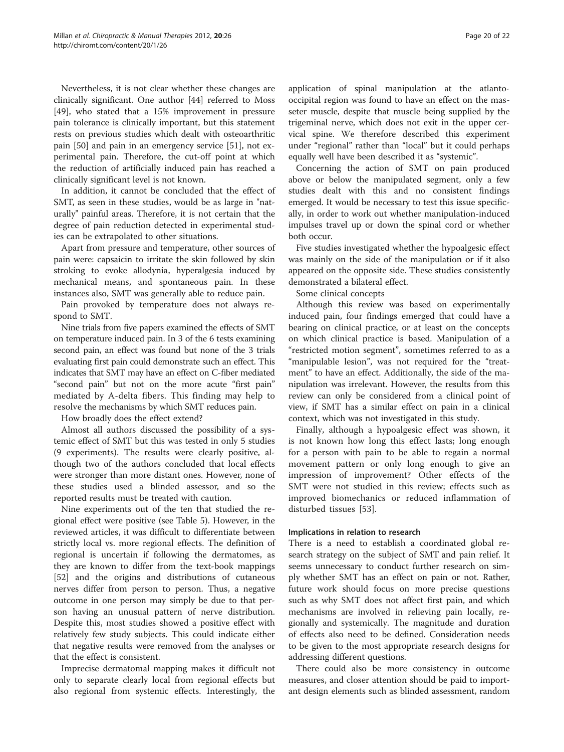Nevertheless, it is not clear whether these changes are clinically significant. One author [[44\]](#page-21-0) referred to Moss [[49\]](#page-21-0), who stated that a 15% improvement in pressure pain tolerance is clinically important, but this statement rests on previous studies which dealt with osteoarthritic pain [[50\]](#page-21-0) and pain in an emergency service [\[51](#page-21-0)], not experimental pain. Therefore, the cut-off point at which the reduction of artificially induced pain has reached a clinically significant level is not known.

In addition, it cannot be concluded that the effect of SMT, as seen in these studies, would be as large in "naturally" painful areas. Therefore, it is not certain that the degree of pain reduction detected in experimental studies can be extrapolated to other situations.

Apart from pressure and temperature, other sources of pain were: capsaicin to irritate the skin followed by skin stroking to evoke allodynia, hyperalgesia induced by mechanical means, and spontaneous pain. In these instances also, SMT was generally able to reduce pain.

Pain provoked by temperature does not always respond to SMT.

Nine trials from five papers examined the effects of SMT on temperature induced pain. In 3 of the 6 tests examining second pain, an effect was found but none of the 3 trials evaluating first pain could demonstrate such an effect. This indicates that SMT may have an effect on C-fiber mediated "second pain" but not on the more acute "first pain" mediated by A-delta fibers. This finding may help to resolve the mechanisms by which SMT reduces pain.

How broadly does the effect extend?

Almost all authors discussed the possibility of a systemic effect of SMT but this was tested in only 5 studies (9 experiments). The results were clearly positive, although two of the authors concluded that local effects were stronger than more distant ones. However, none of these studies used a blinded assessor, and so the reported results must be treated with caution.

Nine experiments out of the ten that studied the regional effect were positive (see Table [5](#page-14-0)). However, in the reviewed articles, it was difficult to differentiate between strictly local vs. more regional effects. The definition of regional is uncertain if following the dermatomes, as they are known to differ from the text-book mappings [[52\]](#page-21-0) and the origins and distributions of cutaneous nerves differ from person to person. Thus, a negative outcome in one person may simply be due to that person having an unusual pattern of nerve distribution. Despite this, most studies showed a positive effect with relatively few study subjects. This could indicate either that negative results were removed from the analyses or that the effect is consistent.

Imprecise dermatomal mapping makes it difficult not only to separate clearly local from regional effects but also regional from systemic effects. Interestingly, the application of spinal manipulation at the atlantooccipital region was found to have an effect on the masseter muscle, despite that muscle being supplied by the trigeminal nerve, which does not exit in the upper cervical spine. We therefore described this experiment under "regional" rather than "local" but it could perhaps equally well have been described it as "systemic".

Concerning the action of SMT on pain produced above or below the manipulated segment, only a few studies dealt with this and no consistent findings emerged. It would be necessary to test this issue specifically, in order to work out whether manipulation-induced impulses travel up or down the spinal cord or whether both occur.

Five studies investigated whether the hypoalgesic effect was mainly on the side of the manipulation or if it also appeared on the opposite side. These studies consistently demonstrated a bilateral effect.

Some clinical concepts

Although this review was based on experimentally induced pain, four findings emerged that could have a bearing on clinical practice, or at least on the concepts on which clinical practice is based. Manipulation of a "restricted motion segment", sometimes referred to as a "manipulable lesion", was not required for the "treatment" to have an effect. Additionally, the side of the manipulation was irrelevant. However, the results from this review can only be considered from a clinical point of view, if SMT has a similar effect on pain in a clinical context, which was not investigated in this study.

Finally, although a hypoalgesic effect was shown, it is not known how long this effect lasts; long enough for a person with pain to be able to regain a normal movement pattern or only long enough to give an impression of improvement? Other effects of the SMT were not studied in this review; effects such as improved biomechanics or reduced inflammation of disturbed tissues [[53](#page-21-0)].

### Implications in relation to research

There is a need to establish a coordinated global research strategy on the subject of SMT and pain relief. It seems unnecessary to conduct further research on simply whether SMT has an effect on pain or not. Rather, future work should focus on more precise questions such as why SMT does not affect first pain, and which mechanisms are involved in relieving pain locally, regionally and systemically. The magnitude and duration of effects also need to be defined. Consideration needs to be given to the most appropriate research designs for addressing different questions.

There could also be more consistency in outcome measures, and closer attention should be paid to important design elements such as blinded assessment, random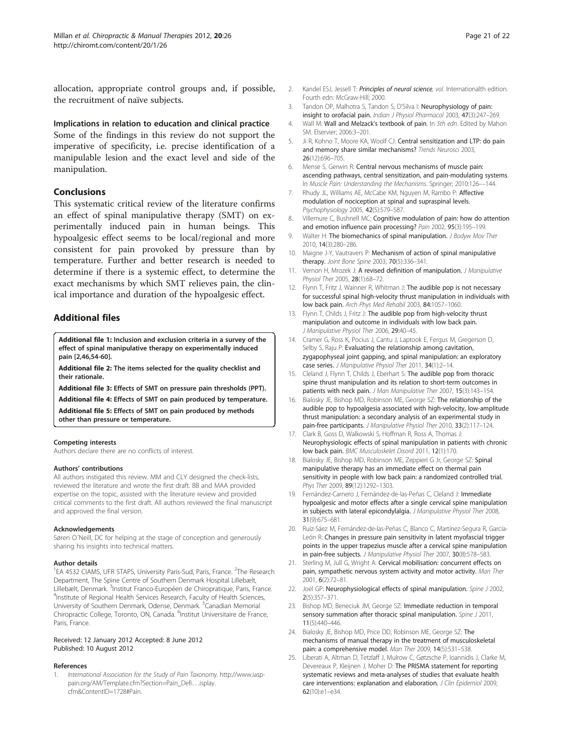<span id="page-20-0"></span>allocation, appropriate control groups and, if possible, the recruitment of naïve subjects.

#### Implications in relation to education and clinical practice

Some of the findings in this review do not support the imperative of specificity, i.e. precise identification of a manipulable lesion and the exact level and side of the manipulation.

#### Conclusions

This systematic critical review of the literature confirms an effect of spinal manipulative therapy (SMT) on experimentally induced pain in human beings. This hypoalgesic effect seems to be local/regional and more consistent for pain provoked by pressure than by temperature. Further and better research is needed to determine if there is a systemic effect, to determine the exact mechanisms by which SMT relieves pain, the clinical importance and duration of the hypoalgesic effect.

#### Additional files

[Additional file 1:](http://www.biomedcentral.com/content/supplementary/2045-709X-20-26-S1.doc) Inclusion and exclusion criteria in a survey of the effect of spinal manipulative therapy on experimentally induced pain [2,46,54-60].

[Additional file 2:](http://www.biomedcentral.com/content/supplementary/2045-709X-20-26-S2.doc) The items selected for the quality checklist and their rationale.

[Additional file 3:](http://www.biomedcentral.com/content/supplementary/2045-709X-20-26-S3.doc) Effects of SMT on pressure pain thresholds (PPT).

[Additional file 4:](http://www.biomedcentral.com/content/supplementary/2045-709X-20-26-S4.doc) Effects of SMT on pain produced by temperature. [Additional file 5:](http://www.biomedcentral.com/content/supplementary/2045-709X-20-26-S5.doc) Effects of SMT on pain produced by methods

#### Competing interests

Authors declare there are no conflicts of interest.

other than pressure or temperature.

#### Authors' contributions

All authors instigated this review. MM and CLY designed the check-lists, reviewed the literature and wrote the first draft. BB and MAA provided expertise on the topic, assisted with the literature review and provided critical comments to the first draft. All authors reviewed the final manuscript and approved the final version.

#### Acknowledgements

Søren O´Neill, DC for helping at the stage of conception and generously sharing his insights into technical matters.

#### Author details

<sup>1</sup>EA 4532 CIAMS, UFR STAPS, University Paris-Sud, Paris, France. <sup>2</sup>The Research Department, The Spine Centre of Southern Denmark Hospital Lillebælt, Lillebælt, Denmark. <sup>3</sup>Institut Franco-Européen de Chiropratique, Paris, France.<br><sup>4</sup>Institute of Peginnal Haalth Sonrices Pessarsh, Faculty of Hoalth Sciences. <sup>4</sup>Institute of Regional Health Services Research, Faculty of Health Sciences, University of Southern Denmark, Odense, Denmark. <sup>5</sup>Canadian Memorial Chiropractic College, Toronto, ON, Canada. <sup>6</sup>Institut Universitaire de France, Paris, France.

#### Received: 12 January 2012 Accepted: 8 June 2012 Published: 10 August 2012

#### References

1. International Association for the Study of Pain Taxonomy. [http://www.iasp](http://www.iasp-pain.org/AM/Template.cfm?Section=Pain_Defi…isplay.cfm&ContentID=1728#Pain)[pain.org/AM/Template.cfm?Section=Pain\\_Defi](http://www.iasp-pain.org/AM/Template.cfm?Section=Pain_Defi…isplay.cfm&ContentID=1728#Pain)...[isplay.](http://www.iasp-pain.org/AM/Template.cfm?Section=Pain_Defi…isplay.cfm&ContentID=1728#Pain) [cfm&ContentID=1728#Pain.](http://www.iasp-pain.org/AM/Template.cfm?Section=Pain_Defi…isplay.cfm&ContentID=1728#Pain)

- 2. Kandel ESJ, Jessell T: Principles of neural science, vol. Internationalth edition. Fourth edn: McGraw-Hill; 2000.
- 3. Tandon OP, Malhotra S, Tandon S, D'Silva I: Neurophysiology of pain:
- insight to orofacial pain. Indian J Physiol Pharmacol 2003, 47(3):247-269. 4. Wall M: Wall and Melzack's textbook of pain. In 5th edn. Edited by Mahon SM. Elservier; 2006:3–201.
- 5. Ji R, Kohno T, Moore KA, Woolf CJ: Central sensitization and LTP: do pain and memory share similar mechanisms? Trends Neurosci 2003, 26(12):696–705.
- 6. Mense S, Gerwin R: Central nervous mechanisms of muscle pain: ascending pathways, central sensitization, and pain-modulating systems. In Muscle Pain: Understanding the Mechanisms. Springer; 2010:126––144.
- 7. Rhudy JL, Williams AE, McCabe KM, Nguyen M, Rambo P: Affective modulation of nociception at spinal and supraspinal levels. Psychophysiology 2005, 42(5):579–587.
- 8. Villemure C, Bushnell MC: Cognitive modulation of pain: how do attention and emotion influence pain processing? Pain 2002, 95(3):195-199.
- 9. Walter H: The biomechanics of spinal manipulation. J Bodyw Mov Ther 2010, 14(3):280–286.
- 10. Maigne J-Y, Vautravers P: Mechanism of action of spinal manipulative therapy. Joint Bone Spine 2003, 70(5):336–341.
- 11. Vernon H, Mrozek J: A revised definition of manipulation. J Manipulative Physiol Ther 2005, 28(1):68–72.
- 12. Flynn T, Fritz J, Wainner R, Whitman J: The audible pop is not necessary for successful spinal high-velocity thrust manipulation in individuals with low back pain. Arch Phys Med Rehabil 2003, 84:1057–1060.
- 13. Flynn T, Childs J, Fritz J: The audible pop from high-velocity thrust manipulation and outcome in individuals with low back pain. J Manipulative Physiol Ther 2006, 29:40–45.
- 14. Cramer G, Ross K, Pocius J, Cantu J, Laptook E, Fergus M, Gregerson D, Selby S, Raju P: Evaluating the relationship among cavitation, zygapophyseal joint gapping, and spinal manipulation: an exploratory case series. J Manipulative Physiol Ther 2011, 34(1):2–14.
- 15. Cleland J, Flynn T, Childs J, Eberhart S: The audible pop from thoracic spine thrust manipulation and its relation to short-term outcomes in patients with neck pain. J Man Manipulative Ther 2007, 15(3):143-154.
- 16. Bialosky JE, Bishop MD, Robinson ME, George SZ: The relationship of the audible pop to hypoalgesia associated with high-velocity, low-amplitude thrust manipulation: a secondary analysis of an experimental study in pain-free participants. J Manipulative Physiol Ther 2010, 33(2):117-124.
- 17. Clark B, Goss D, Walkowski S, Hoffman R, Ross A, Thomas J: Neurophysiologic effects of spinal manipulation in patients with chronic low back pain. BMC Musculoskelet Disord 2011, 12(1):170.
- 18. Bialosky JE, Bishop MD, Robinson ME, Zeppieri G Jr, George SZ: Spinal manipulative therapy has an immediate effect on thermal pain sensitivity in people with low back pain: a randomized controlled trial. Phys Ther 2009, 89(12):1292–1303.
- 19. Fernández-Carnero J, Fernández-de-las-Peñas C, Cleland J: Immediate hypoalgesic and motor effects after a single cervical spine manipulation in subjects with lateral epicondylalgia. J Manipulative Physiol Ther 2008, 31(9):675–681.
- 20. Ruiz-Sáez M, Fernández-de-las-Peñas C, Blanco C, Martínez-Segura R, García-León R: Changes in pressure pain sensitivity in latent myofascial trigger points in the upper trapezius muscle after a cervical spine manipulation in pain-free subjects. J Manipulative Physiol Ther 2007, 30(8):578-583.
- 21. Sterling M, Jull G, Wright A: Cervical mobilisation: concurrent effects on pain, sympathetic nervous system activity and motor activity. Man Ther 2001, 6(2):72–81.
- 22. Joel GP: Neurophysiological effects of spinal manipulation. Spine J 2002, 2(5):357–371.
- 23. Bishop MD, Beneciuk JM, George SZ: Immediate reduction in temporal sensory summation after thoracic spinal manipulation. Spine J 2011, 11(5):440–446.
- 24. Bialosky JE, Bishop MD, Price DD, Robinson ME, George SZ: The mechanisms of manual therapy in the treatment of musculoskeletal pain: a comprehensive model. Man Ther 2009, 14(5):531-538.
- 25. Liberati A, Altman D, Tetzlaff J, Mulrow C, Gøtzsche P, Ioannidis J, Clarke M, Devereaux P, Kleijnen J, Moher D: The PRISMA statement for reporting systematic reviews and meta-analyses of studies that evaluate health care interventions: explanation and elaboration. J Clin Epidemiol 2009, 62(10):e1–e34.